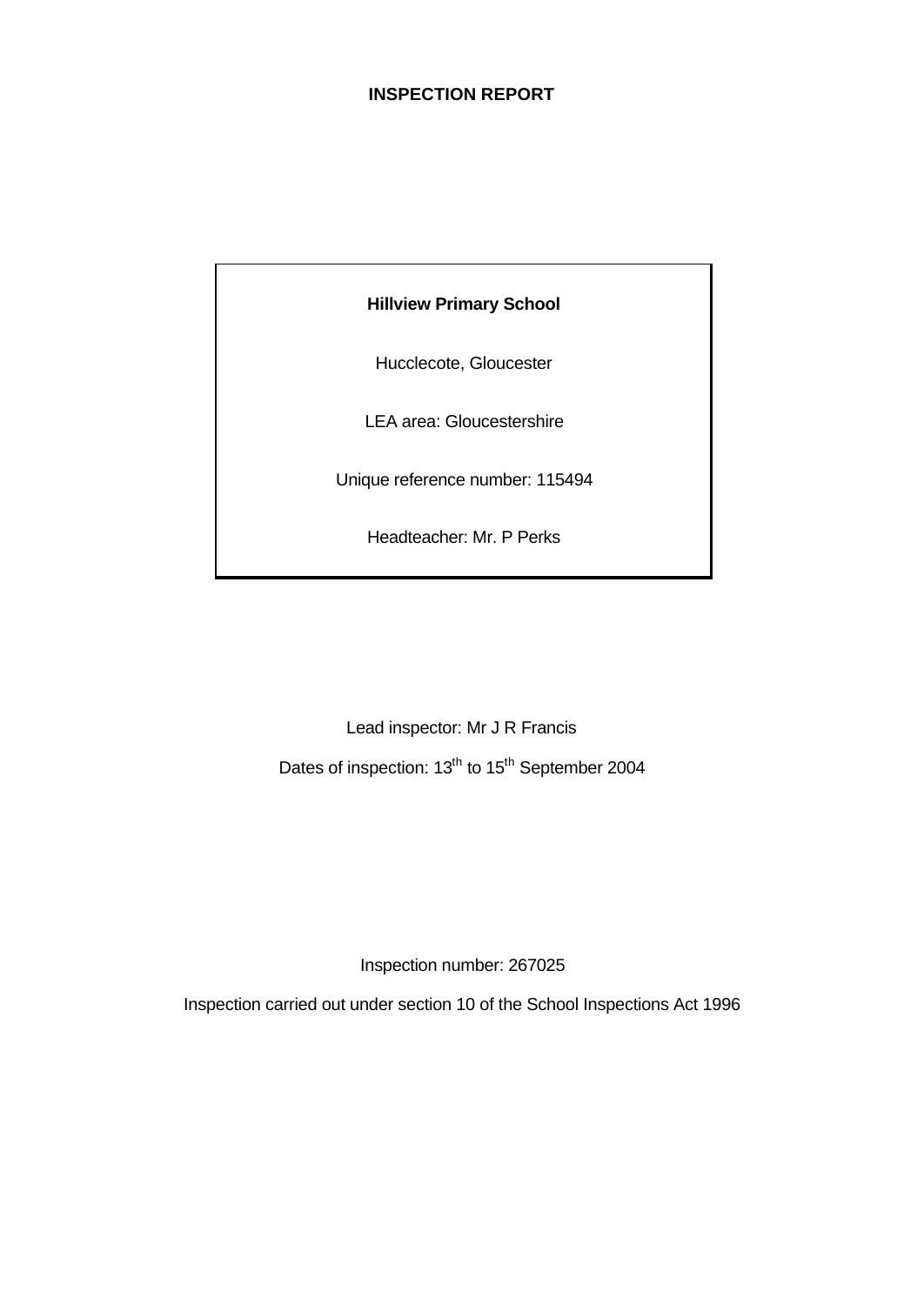## **INSPECTION REPORT**

## **Hillview Primary School**

Hucclecote, Gloucester

LEA area: Gloucestershire

Unique reference number: 115494

Headteacher: Mr. P Perks

Lead inspector: Mr J R Francis

Dates of inspection: 13<sup>th</sup> to 15<sup>th</sup> September 2004

Inspection number: 267025

Inspection carried out under section 10 of the School Inspections Act 1996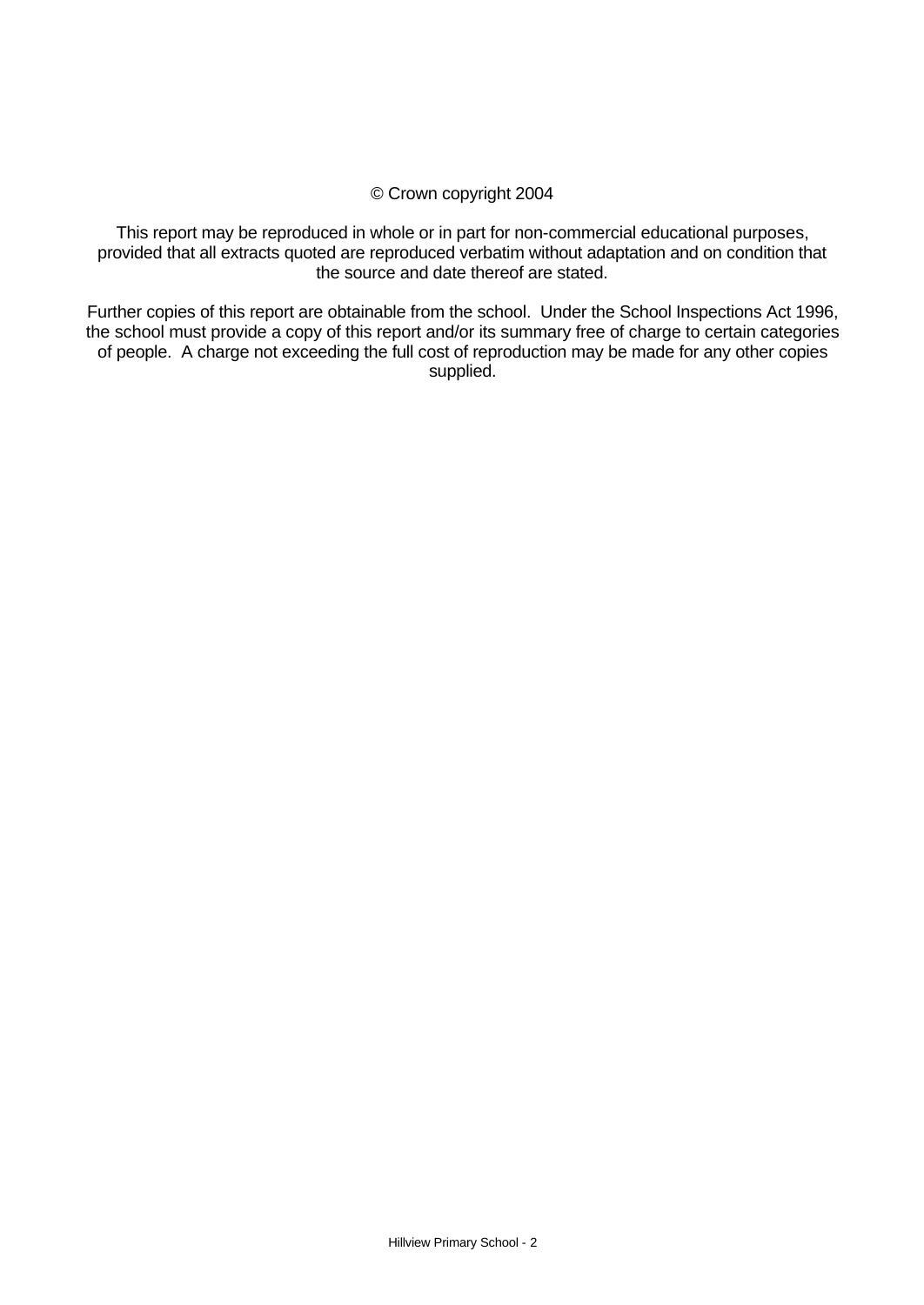## © Crown copyright 2004

This report may be reproduced in whole or in part for non-commercial educational purposes, provided that all extracts quoted are reproduced verbatim without adaptation and on condition that the source and date thereof are stated.

Further copies of this report are obtainable from the school. Under the School Inspections Act 1996, the school must provide a copy of this report and/or its summary free of charge to certain categories of people. A charge not exceeding the full cost of reproduction may be made for any other copies supplied.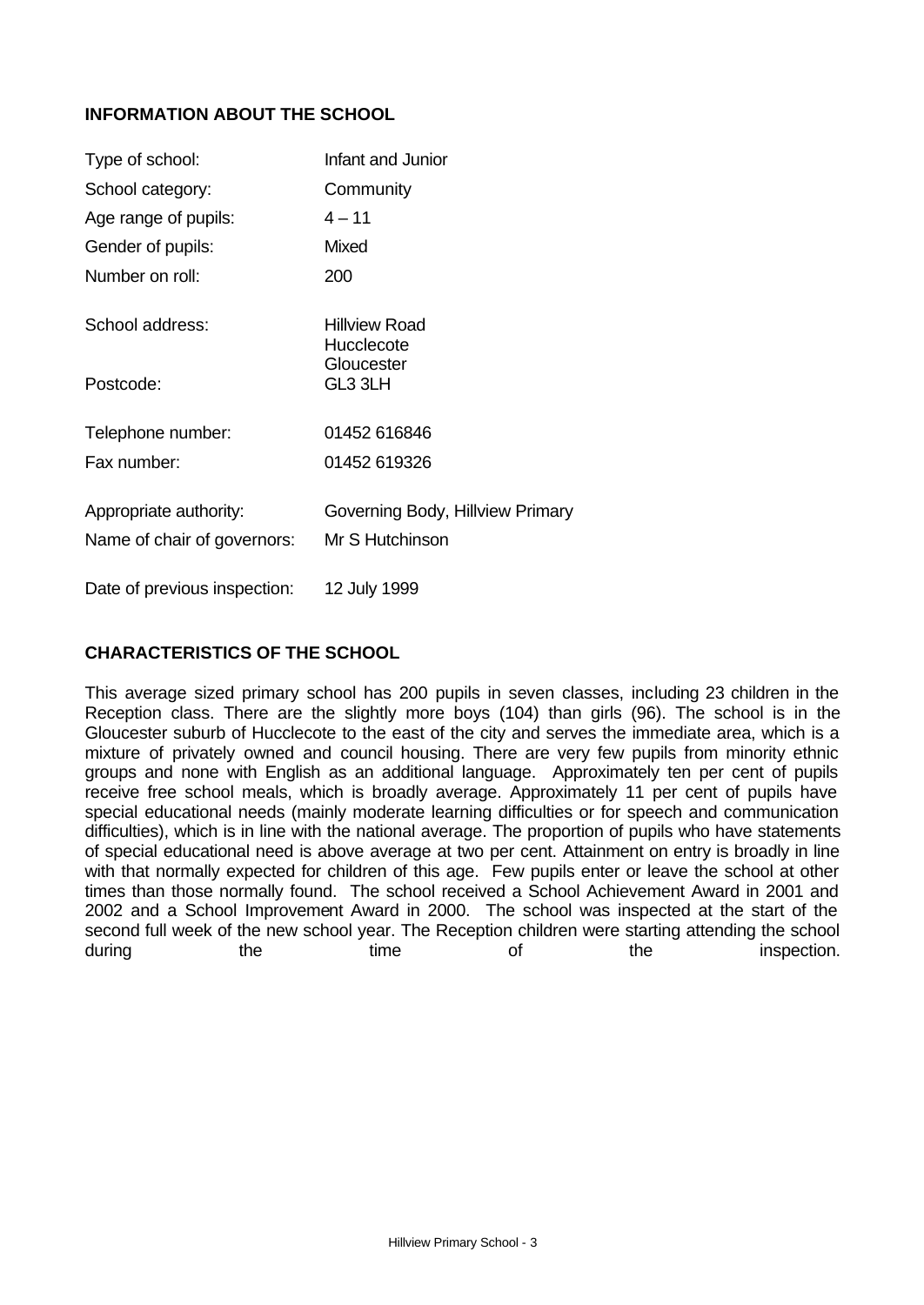## **INFORMATION ABOUT THE SCHOOL**

| Type of school:                                       | Infant and Junior                                   |
|-------------------------------------------------------|-----------------------------------------------------|
| School category:                                      | Community                                           |
| Age range of pupils:                                  | $4 - 11$                                            |
| Gender of pupils:                                     | Mixed                                               |
| Number on roll:                                       | 200                                                 |
| School address:                                       | Hillview Road<br>Hucclecote                         |
| Postcode:                                             | Gloucester<br>GL3 3LH                               |
| Telephone number:                                     | 01452 616846                                        |
| Fax number:                                           | 01452 619326                                        |
| Appropriate authority:<br>Name of chair of governors: | Governing Body, Hillview Primary<br>Mr S Hutchinson |
| Date of previous inspection:                          | 12 July 1999                                        |

## **CHARACTERISTICS OF THE SCHOOL**

This average sized primary school has 200 pupils in seven classes, including 23 children in the Reception class. There are the slightly more boys (104) than girls (96). The school is in the Gloucester suburb of Hucclecote to the east of the city and serves the immediate area, which is a mixture of privately owned and council housing. There are very few pupils from minority ethnic groups and none with English as an additional language. Approximately ten per cent of pupils receive free school meals, which is broadly average. Approximately 11 per cent of pupils have special educational needs (mainly moderate learning difficulties or for speech and communication difficulties), which is in line with the national average. The proportion of pupils who have statements of special educational need is above average at two per cent. Attainment on entry is broadly in line with that normally expected for children of this age. Few pupils enter or leave the school at other times than those normally found. The school received a School Achievement Award in 2001 and 2002 and a School Improvement Award in 2000. The school was inspected at the start of the second full week of the new school year. The Reception children were starting attending the school during the time of the inspection.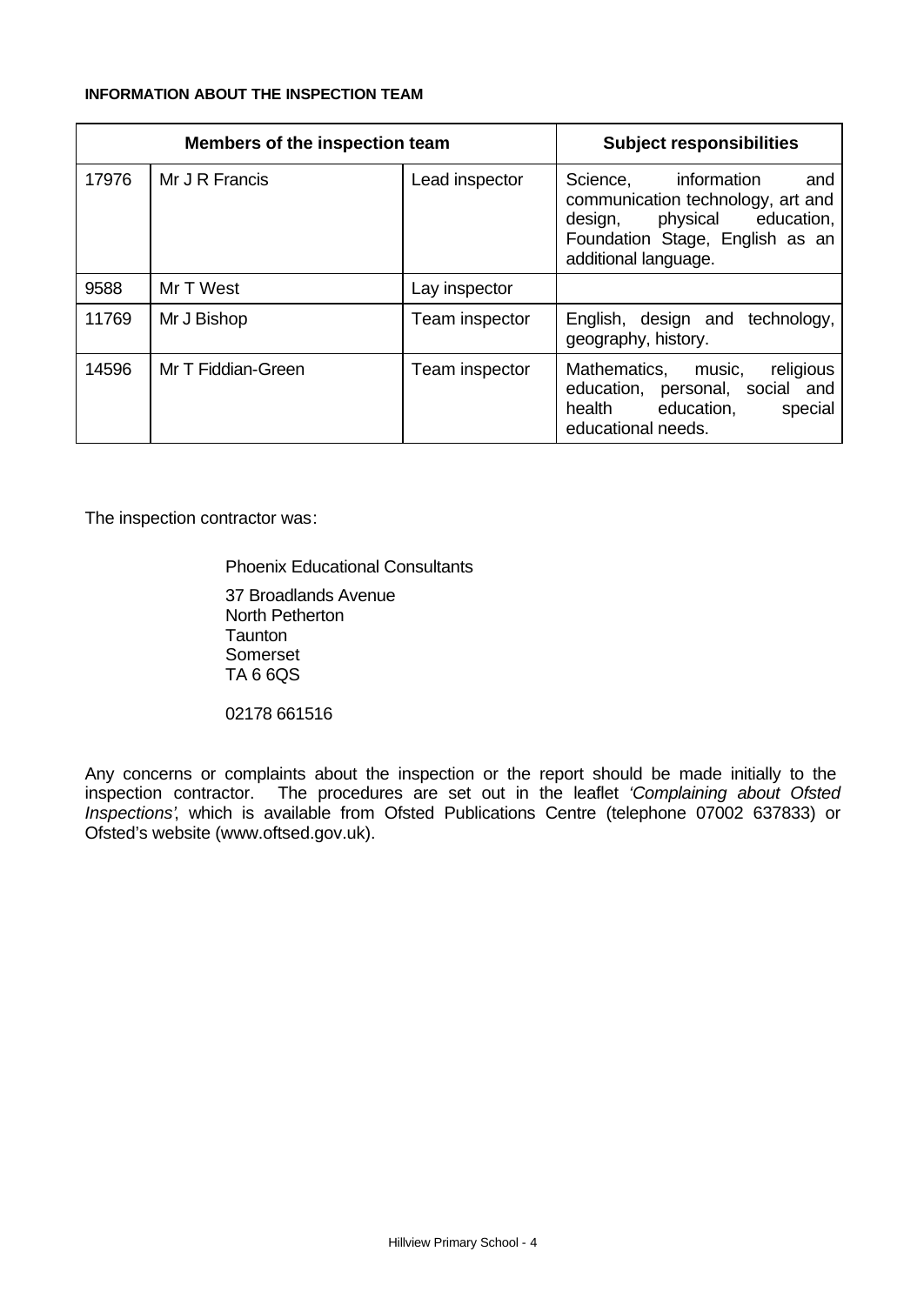#### **INFORMATION ABOUT THE INSPECTION TEAM**

| Members of the inspection team |                    |                | <b>Subject responsibilities</b>                                                                                                                                  |
|--------------------------------|--------------------|----------------|------------------------------------------------------------------------------------------------------------------------------------------------------------------|
| 17976                          | Mr J R Francis     | Lead inspector | information<br>Science,<br>and<br>communication technology, art and<br>physical education,<br>design,<br>Foundation Stage, English as an<br>additional language. |
| 9588                           | Mr T West          | Lay inspector  |                                                                                                                                                                  |
| 11769                          | Mr J Bishop        | Team inspector | English, design and technology,<br>geography, history.                                                                                                           |
| 14596                          | Mr T Fiddian-Green | Team inspector | religious<br>Mathematics, music,<br>education, personal, social and<br>health education,<br>special<br>educational needs.                                        |

The inspection contractor was:

Phoenix Educational Consultants

37 Broadlands Avenue North Petherton **Taunton** Somerset TA 6 6QS

02178 661516

Any concerns or complaints about the inspection or the report should be made initially to the inspection contractor. The procedures are set out in the leaflet *'Complaining about Ofsted Inspections'*, which is available from Ofsted Publications Centre (telephone 07002 637833) or Ofsted's website (www.oftsed.gov.uk).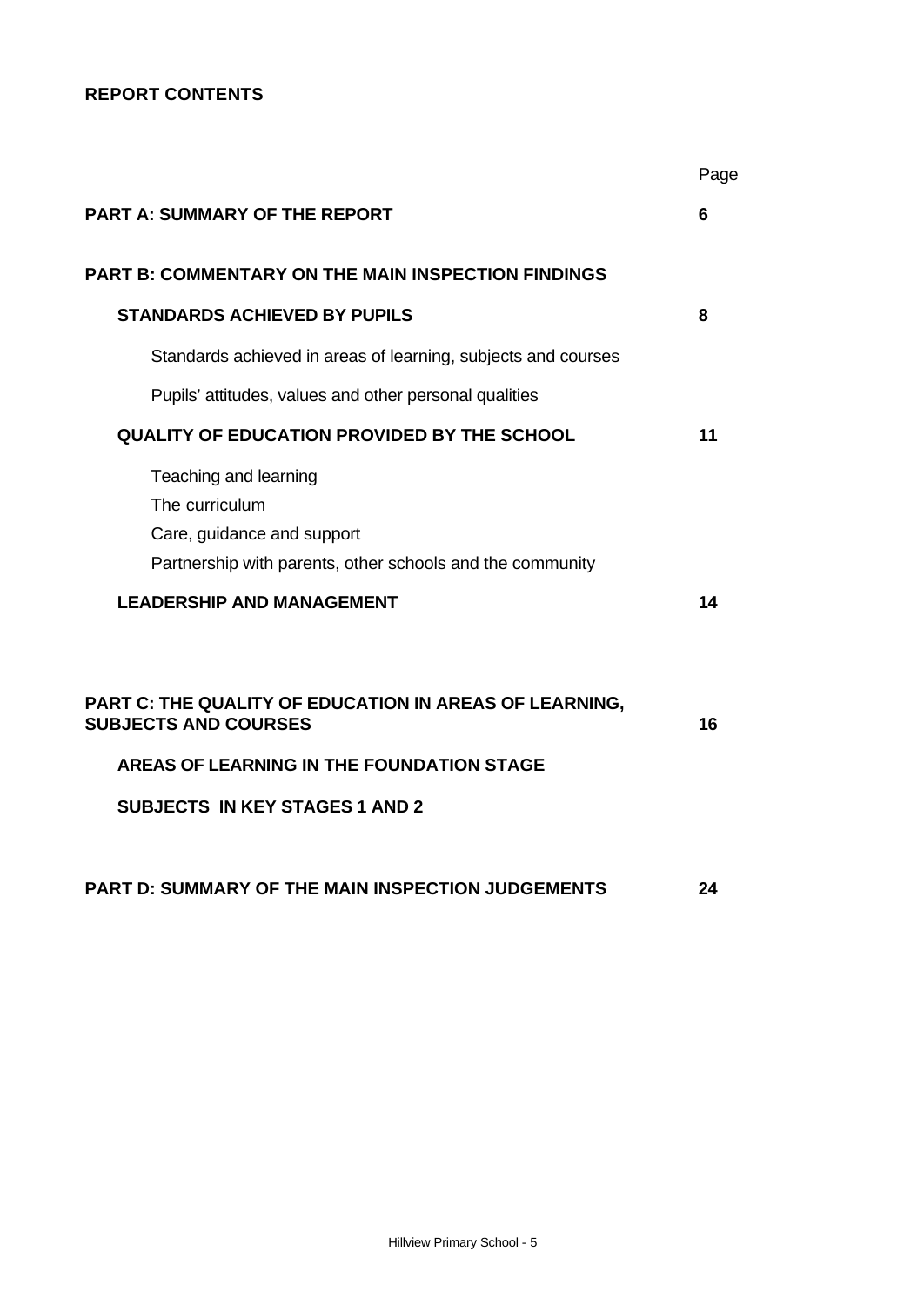## **REPORT CONTENTS**

|                                                                                                                                    | Page |
|------------------------------------------------------------------------------------------------------------------------------------|------|
| <b>PART A: SUMMARY OF THE REPORT</b>                                                                                               | 6    |
| PART B: COMMENTARY ON THE MAIN INSPECTION FINDINGS                                                                                 |      |
| <b>STANDARDS ACHIEVED BY PUPILS</b>                                                                                                | 8    |
| Standards achieved in areas of learning, subjects and courses                                                                      |      |
| Pupils' attitudes, values and other personal qualities                                                                             |      |
| <b>QUALITY OF EDUCATION PROVIDED BY THE SCHOOL</b>                                                                                 | 11   |
| Teaching and learning<br>The curriculum<br>Care, guidance and support<br>Partnership with parents, other schools and the community |      |
| <b>LEADERSHIP AND MANAGEMENT</b>                                                                                                   | 14   |
| PART C: THE QUALITY OF EDUCATION IN AREAS OF LEARNING,<br><b>SUBJECTS AND COURSES</b><br>AREAS OF LEARNING IN THE FOUNDATION STAGE | 16   |
| <b>SUBJECTS IN KEY STAGES 1 AND 2</b>                                                                                              |      |
| PART D: SUMMARY OF THE MAIN INSPECTION JUDGEMENTS                                                                                  | 24   |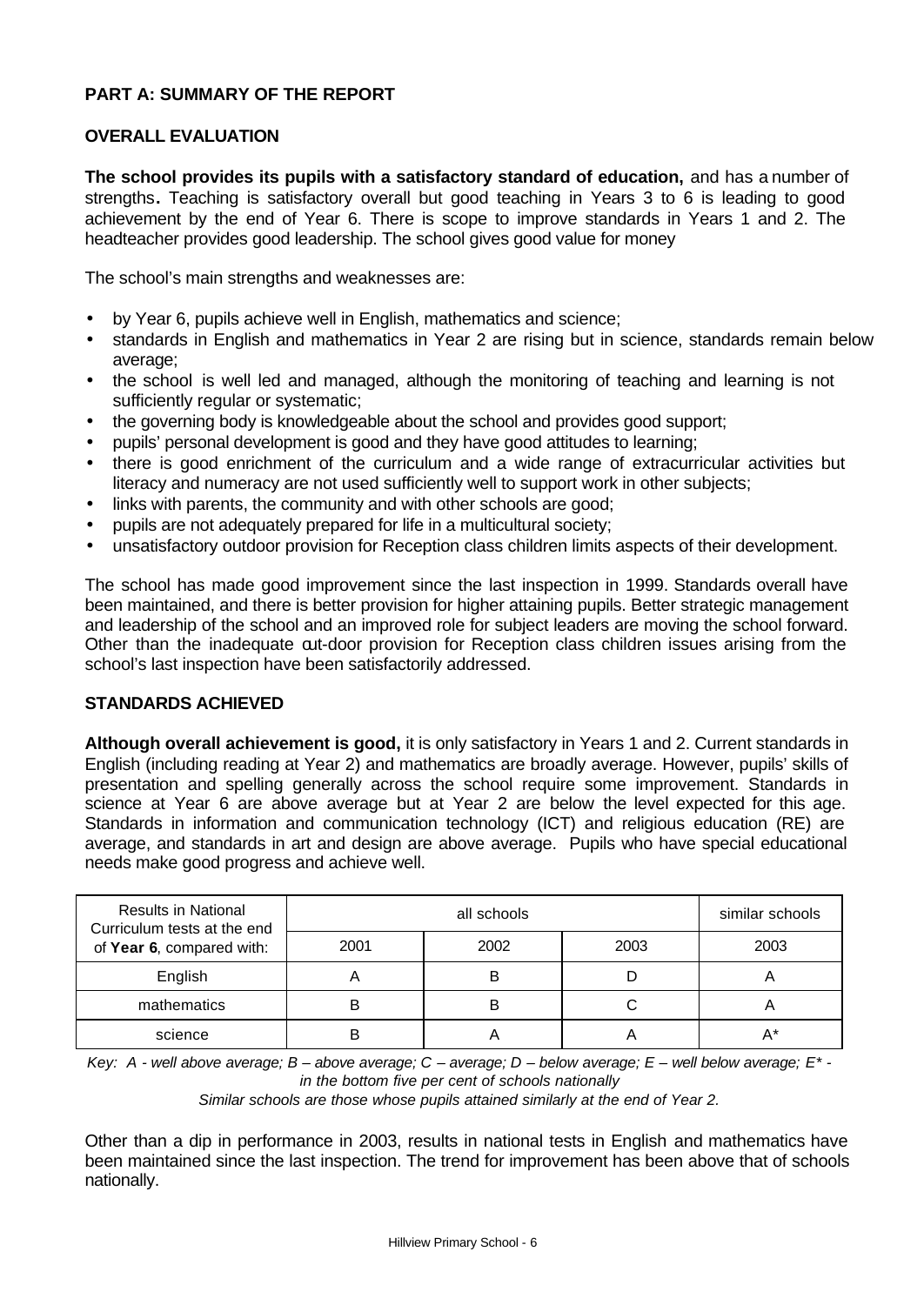## **PART A: SUMMARY OF THE REPORT**

#### **OVERALL EVALUATION**

**The school provides its pupils with a satisfactory standard of education,** and has a number of strengths**.** Teaching is satisfactory overall but good teaching in Years 3 to 6 is leading to good achievement by the end of Year 6. There is scope to improve standards in Years 1 and 2. The headteacher provides good leadership. The school gives good value for money

The school's main strengths and weaknesses are:

- by Year 6, pupils achieve well in English, mathematics and science;
- standards in English and mathematics in Year 2 are rising but in science, standards remain below average;
- the school is well led and managed, although the monitoring of teaching and learning is not sufficiently regular or systematic;
- the governing body is knowledgeable about the school and provides good support;
- pupils' personal development is good and they have good attitudes to learning;
- there is good enrichment of the curriculum and a wide range of extracurricular activities but literacy and numeracy are not used sufficiently well to support work in other subjects;
- links with parents, the community and with other schools are good;
- pupils are not adequately prepared for life in a multicultural society;
- unsatisfactory outdoor provision for Reception class children limits aspects of their development.

The school has made good improvement since the last inspection in 1999. Standards overall have been maintained, and there is better provision for higher attaining pupils. Better strategic management and leadership of the school and an improved role for subject leaders are moving the school forward. Other than the inadequate out-door provision for Reception class children issues arising from the school's last inspection have been satisfactorily addressed.

#### **STANDARDS ACHIEVED**

**Although overall achievement is good,** it is only satisfactory in Years 1 and 2. Current standards in English (including reading at Year 2) and mathematics are broadly average. However, pupils' skills of presentation and spelling generally across the school require some improvement. Standards in science at Year 6 are above average but at Year 2 are below the level expected for this age. Standards in information and communication technology (ICT) and religious education (RE) are average, and standards in art and design are above average. Pupils who have special educational needs make good progress and achieve well.

| <b>Results in National</b><br>Curriculum tests at the end |      | similar schools |      |      |
|-----------------------------------------------------------|------|-----------------|------|------|
| of Year 6, compared with:                                 | 2001 | 2002            | 2003 | 2003 |
| English                                                   |      | B               |      |      |
| mathematics                                               | B    | B               |      | n    |
| science                                                   |      |                 |      |      |

*Key: A - well above average; B – above average; C – average; D – below average; E – well below average; E\* in the bottom five per cent of schools nationally*

*Similar schools are those whose pupils attained similarly at the end of Year 2.*

Other than a dip in performance in 2003, results in national tests in English and mathematics have been maintained since the last inspection. The trend for improvement has been above that of schools nationally.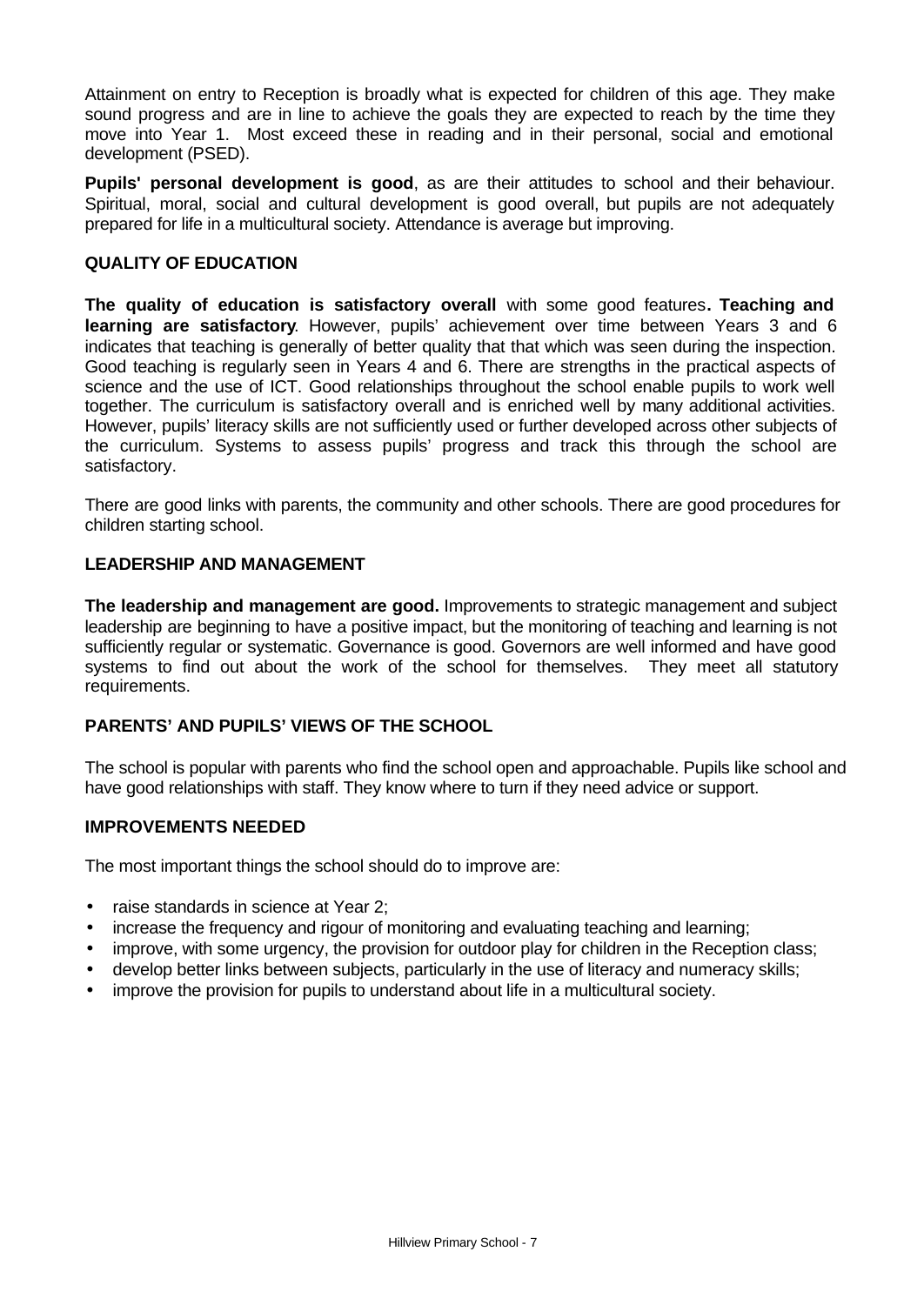Attainment on entry to Reception is broadly what is expected for children of this age. They make sound progress and are in line to achieve the goals they are expected to reach by the time they move into Year 1. Most exceed these in reading and in their personal, social and emotional development (PSED).

**Pupils' personal development is good**, as are their attitudes to school and their behaviour. Spiritual, moral, social and cultural development is good overall, but pupils are not adequately prepared for life in a multicultural society. Attendance is average but improving.

## **QUALITY OF EDUCATION**

**The quality of education is satisfactory overall** with some good features**. Teaching and learning are satisfactory**. However, pupils' achievement over time between Years 3 and 6 indicates that teaching is generally of better quality that that which was seen during the inspection. Good teaching is regularly seen in Years 4 and 6. There are strengths in the practical aspects of science and the use of ICT. Good relationships throughout the school enable pupils to work well together. The curriculum is satisfactory overall and is enriched well by many additional activities. However, pupils' literacy skills are not sufficiently used or further developed across other subjects of the curriculum. Systems to assess pupils' progress and track this through the school are satisfactory.

There are good links with parents, the community and other schools. There are good procedures for children starting school.

## **LEADERSHIP AND MANAGEMENT**

**The leadership and management are good.** Improvements to strategic management and subject leadership are beginning to have a positive impact, but the monitoring of teaching and learning is not sufficiently regular or systematic. Governance is good. Governors are well informed and have good systems to find out about the work of the school for themselves. They meet all statutory requirements.

## **PARENTS' AND PUPILS' VIEWS OF THE SCHOOL**

The school is popular with parents who find the school open and approachable. Pupils like school and have good relationships with staff. They know where to turn if they need advice or support.

## **IMPROVEMENTS NEEDED**

The most important things the school should do to improve are:

- raise standards in science at Year 2;
- increase the frequency and rigour of monitoring and evaluating teaching and learning;
- improve, with some urgency, the provision for outdoor play for children in the Reception class;
- develop better links between subjects, particularly in the use of literacy and numeracy skills;
- improve the provision for pupils to understand about life in a multicultural society.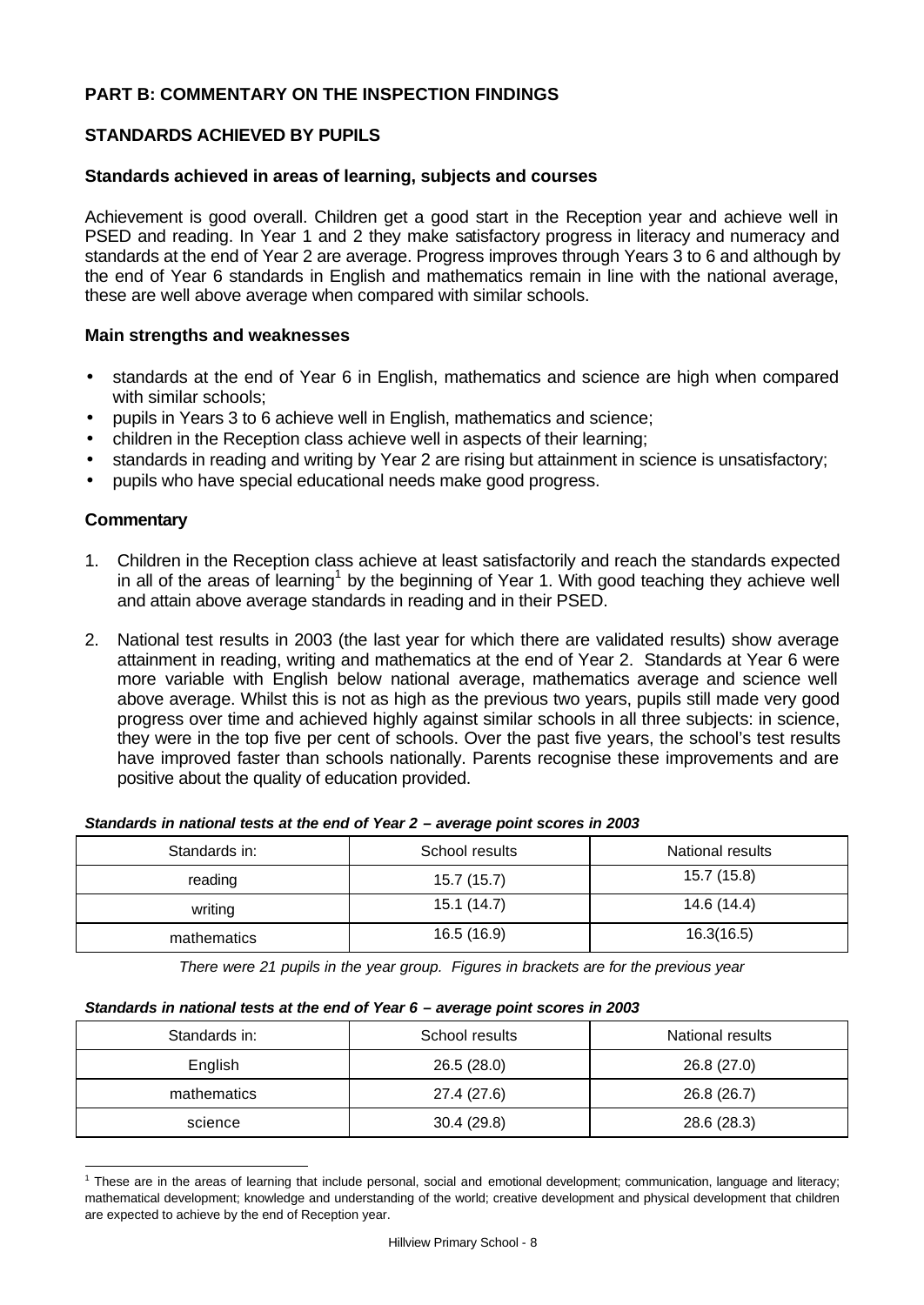## **PART B: COMMENTARY ON THE INSPECTION FINDINGS**

## **STANDARDS ACHIEVED BY PUPILS**

#### **Standards achieved in areas of learning, subjects and courses**

Achievement is good overall. Children get a good start in the Reception year and achieve well in PSED and reading. In Year 1 and 2 they make satisfactory progress in literacy and numeracy and standards at the end of Year 2 are average. Progress improves through Years 3 to 6 and although by the end of Year 6 standards in English and mathematics remain in line with the national average, these are well above average when compared with similar schools.

#### **Main strengths and weaknesses**

- standards at the end of Year 6 in English, mathematics and science are high when compared with similar schools;
- pupils in Years 3 to 6 achieve well in English, mathematics and science;
- children in the Reception class achieve well in aspects of their learning;
- standards in reading and writing by Year 2 are rising but attainment in science is unsatisfactory;
- pupils who have special educational needs make good progress.

#### **Commentary**

- 1. Children in the Reception class achieve at least satisfactorily and reach the standards expected in all of the areas of learning<sup>1</sup> by the beginning of Year 1. With good teaching they achieve well and attain above average standards in reading and in their PSED.
- 2. National test results in 2003 (the last year for which there are validated results) show average attainment in reading, writing and mathematics at the end of Year 2. Standards at Year 6 were more variable with English below national average, mathematics average and science well above average. Whilst this is not as high as the previous two years, pupils still made very good progress over time and achieved highly against similar schools in all three subjects: in science, they were in the top five per cent of schools. Over the past five years, the school's test results have improved faster than schools nationally. Parents recognise these improvements and are positive about the quality of education provided.

| Standards in: | School results | National results |
|---------------|----------------|------------------|
| reading       | 15.7 (15.7)    | 15.7 (15.8)      |
| writing       | 15.1(14.7)     | 14.6 (14.4)      |
| mathematics   | 16.5 (16.9)    | 16.3(16.5)       |

#### *Standards in national tests at the end of Year 2 – average point scores in 2003*

*There were 21 pupils in the year group. Figures in brackets are for the previous year* 

#### *Standards in national tests at the end of Year 6 – average point scores in 2003*

| Standards in: | School results | National results |  |
|---------------|----------------|------------------|--|
| English       | 26.5(28.0)     | 26.8 (27.0)      |  |
| mathematics   | 27.4 (27.6)    | 26.8 (26.7)      |  |
| science       | 30.4(29.8)     | 28.6 (28.3)      |  |

<sup>&</sup>lt;sup>1</sup> These are in the areas of learning that include personal, social and emotional development; communication, language and literacy; mathematical development; knowledge and understanding of the world; creative development and physical development that children are expected to achieve by the end of Reception year.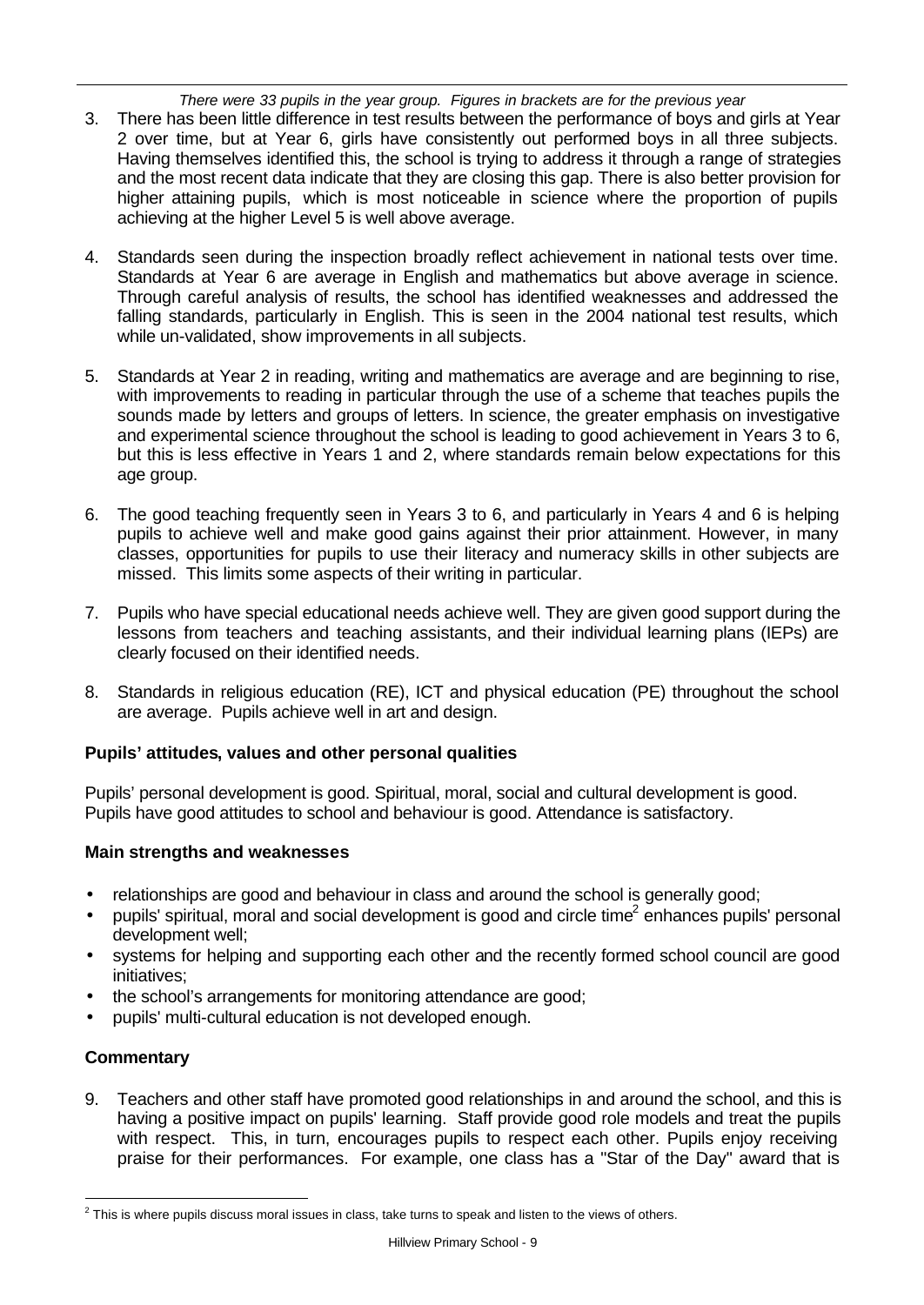*There were 33 pupils in the year group. Figures in brackets are for the previous year*

- 3. There has been little difference in test results between the performance of boys and girls at Year 2 over time, but at Year 6, girls have consistently out performed boys in all three subjects. Having themselves identified this, the school is trying to address it through a range of strategies and the most recent data indicate that they are closing this gap. There is also better provision for higher attaining pupils, which is most noticeable in science where the proportion of pupils achieving at the higher Level 5 is well above average.
- 4. Standards seen during the inspection broadly reflect achievement in national tests over time. Standards at Year 6 are average in English and mathematics but above average in science. Through careful analysis of results, the school has identified weaknesses and addressed the falling standards, particularly in English. This is seen in the 2004 national test results, which while un-validated, show improvements in all subjects.
- 5. Standards at Year 2 in reading, writing and mathematics are average and are beginning to rise, with improvements to reading in particular through the use of a scheme that teaches pupils the sounds made by letters and groups of letters. In science, the greater emphasis on investigative and experimental science throughout the school is leading to good achievement in Years 3 to 6, but this is less effective in Years 1 and 2, where standards remain below expectations for this age group.
- 6. The good teaching frequently seen in Years 3 to 6, and particularly in Years 4 and 6 is helping pupils to achieve well and make good gains against their prior attainment. However, in many classes, opportunities for pupils to use their literacy and numeracy skills in other subjects are missed. This limits some aspects of their writing in particular.
- 7. Pupils who have special educational needs achieve well. They are given good support during the lessons from teachers and teaching assistants, and their individual learning plans (IEPs) are clearly focused on their identified needs.
- 8. Standards in religious education (RE), ICT and physical education (PE) throughout the school are average. Pupils achieve well in art and design.

## **Pupils' attitudes, values and other personal qualities**

Pupils' personal development is good. Spiritual, moral, social and cultural development is good. Pupils have good attitudes to school and behaviour is good. Attendance is satisfactory.

## **Main strengths and weaknesses**

- relationships are good and behaviour in class and around the school is generally good;
- $\bullet$  pupils' spiritual, moral and social development is good and circle time<sup>2</sup> enhances pupils' personal development well;
- systems for helping and supporting each other and the recently formed school council are good initiatives;
- the school's arrangements for monitoring attendance are good;
- pupils' multi-cultural education is not developed enough.

## **Commentary**

9. Teachers and other staff have promoted good relationships in and around the school, and this is having a positive impact on pupils' learning. Staff provide good role models and treat the pupils with respect. This, in turn, encourages pupils to respect each other. Pupils enjoy receiving praise for their performances. For example, one class has a "Star of the Day" award that is

l  $^2$  This is where pupils discuss moral issues in class, take turns to speak and listen to the views of others.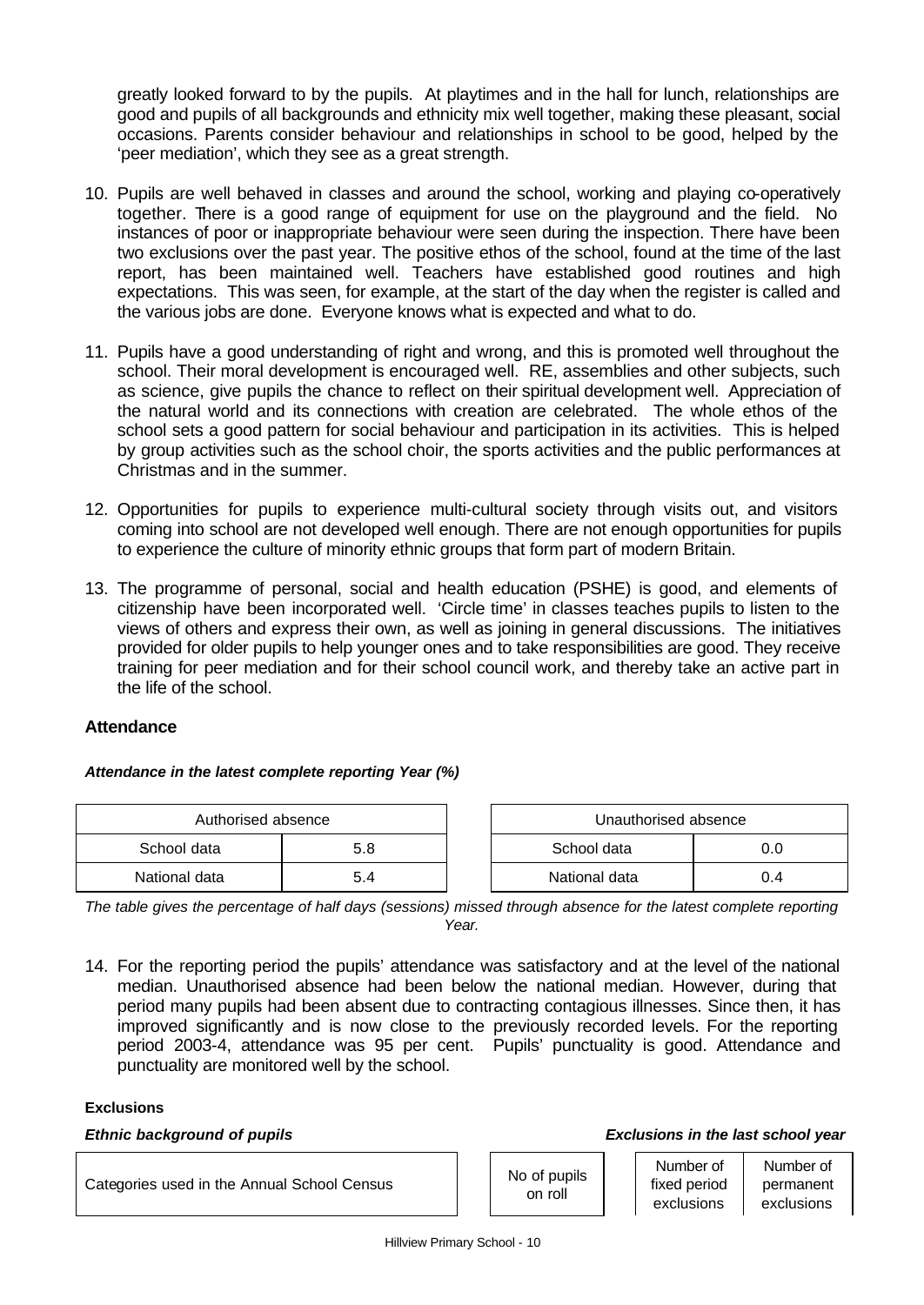greatly looked forward to by the pupils. At playtimes and in the hall for lunch, relationships are good and pupils of all backgrounds and ethnicity mix well together, making these pleasant, social occasions. Parents consider behaviour and relationships in school to be good, helped by the 'peer mediation', which they see as a great strength.

- 10. Pupils are well behaved in classes and around the school, working and playing co-operatively together. There is a good range of equipment for use on the playground and the field. No instances of poor or inappropriate behaviour were seen during the inspection. There have been two exclusions over the past year. The positive ethos of the school, found at the time of the last report, has been maintained well. Teachers have established good routines and high expectations. This was seen, for example, at the start of the day when the register is called and the various jobs are done. Everyone knows what is expected and what to do.
- 11. Pupils have a good understanding of right and wrong, and this is promoted well throughout the school. Their moral development is encouraged well. RE, assemblies and other subjects, such as science, give pupils the chance to reflect on their spiritual development well. Appreciation of the natural world and its connections with creation are celebrated. The whole ethos of the school sets a good pattern for social behaviour and participation in its activities. This is helped by group activities such as the school choir, the sports activities and the public performances at Christmas and in the summer.
- 12. Opportunities for pupils to experience multi-cultural society through visits out, and visitors coming into school are not developed well enough. There are not enough opportunities for pupils to experience the culture of minority ethnic groups that form part of modern Britain.
- 13. The programme of personal, social and health education (PSHE) is good, and elements of citizenship have been incorporated well. 'Circle time' in classes teaches pupils to listen to the views of others and express their own, as well as joining in general discussions. The initiatives provided for older pupils to help younger ones and to take responsibilities are good. They receive training for peer mediation and for their school council work, and thereby take an active part in the life of the school.

## **Attendance**

*Attendance in the latest complete reporting Year (%)*

| Authorised absence |     |  | Unauthorised absence |     |  |
|--------------------|-----|--|----------------------|-----|--|
| School data        | 5.8 |  | School data          |     |  |
| National data      | 5.4 |  | National data        | 0.4 |  |

| Authorised absence |     | Unauthorised absence |     |  |  |
|--------------------|-----|----------------------|-----|--|--|
| data               | 5.8 | School data<br>0.C   |     |  |  |
| data               |     | National data        | 0.4 |  |  |

*The table gives the percentage of half days (sessions) missed through absence for the latest complete reporting Year.*

14. For the reporting period the pupils' attendance was satisfactory and at the level of the national median. Unauthorised absence had been below the national median. However, during that period many pupils had been absent due to contracting contagious illnesses. Since then, it has improved significantly and is now close to the previously recorded levels. For the reporting period 2003-4, attendance was 95 per cent. Pupils' punctuality is good. Attendance and punctuality are monitored well by the school.

#### **Exclusions**

#### *Ethnic background of pupils Exclusions in the last school year*

Categories used in the Annual School Census No of pupils

on roll

Number of fixed period Number of

permanent exclusions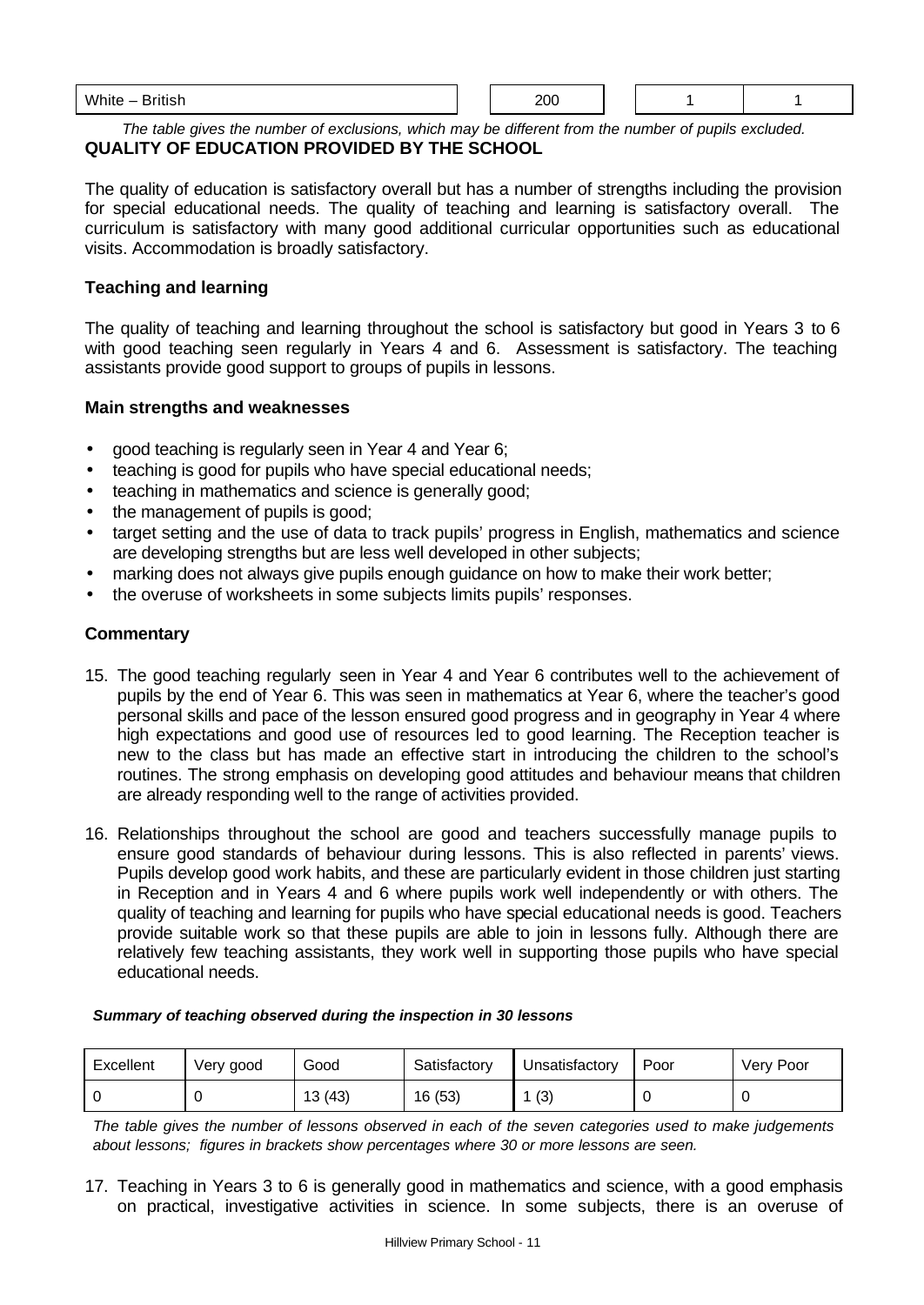| White –<br><b>British</b> | 200 |  |  |
|---------------------------|-----|--|--|
|                           |     |  |  |

*The table gives the number of exclusions, which may be different from the number of pupils excluded.* **QUALITY OF EDUCATION PROVIDED BY THE SCHOOL**

The quality of education is satisfactory overall but has a number of strengths including the provision for special educational needs. The quality of teaching and learning is satisfactory overall. The curriculum is satisfactory with many good additional curricular opportunities such as educational visits. Accommodation is broadly satisfactory.

## **Teaching and learning**

The quality of teaching and learning throughout the school is satisfactory but good in Years 3 to 6 with good teaching seen regularly in Years 4 and 6. Assessment is satisfactory. The teaching assistants provide good support to groups of pupils in lessons.

#### **Main strengths and weaknesses**

- good teaching is regularly seen in Year 4 and Year 6;
- teaching is good for pupils who have special educational needs;
- teaching in mathematics and science is generally good;
- the management of pupils is good;
- target setting and the use of data to track pupils' progress in English, mathematics and science are developing strengths but are less well developed in other subjects;
- marking does not always give pupils enough guidance on how to make their work better;
- the overuse of worksheets in some subjects limits pupils' responses.

## **Commentary**

- 15. The good teaching regularly seen in Year 4 and Year 6 contributes well to the achievement of pupils by the end of Year 6. This was seen in mathematics at Year 6, where the teacher's good personal skills and pace of the lesson ensured good progress and in geography in Year 4 where high expectations and good use of resources led to good learning. The Reception teacher is new to the class but has made an effective start in introducing the children to the school's routines. The strong emphasis on developing good attitudes and behaviour means that children are already responding well to the range of activities provided.
- 16. Relationships throughout the school are good and teachers successfully manage pupils to ensure good standards of behaviour during lessons. This is also reflected in parents' views. Pupils develop good work habits, and these are particularly evident in those children just starting in Reception and in Years 4 and 6 where pupils work well independently or with others. The quality of teaching and learning for pupils who have special educational needs is good. Teachers provide suitable work so that these pupils are able to join in lessons fully. Although there are relatively few teaching assistants, they work well in supporting those pupils who have special educational needs.

#### *Summary of teaching observed during the inspection in 30 lessons*

| Excellent | Very good | Good   | Satisfactory | Unsatisfactory | Poor | Very Poor |
|-----------|-----------|--------|--------------|----------------|------|-----------|
|           |           | 13(43) | 16 (53)      | (3)            |      |           |

*The table gives the number of lessons observed in each of the seven categories used to make judgements about lessons; figures in brackets show percentages where 30 or more lessons are seen.*

17. Teaching in Years 3 to 6 is generally good in mathematics and science, with a good emphasis on practical, investigative activities in science. In some subjects, there is an overuse of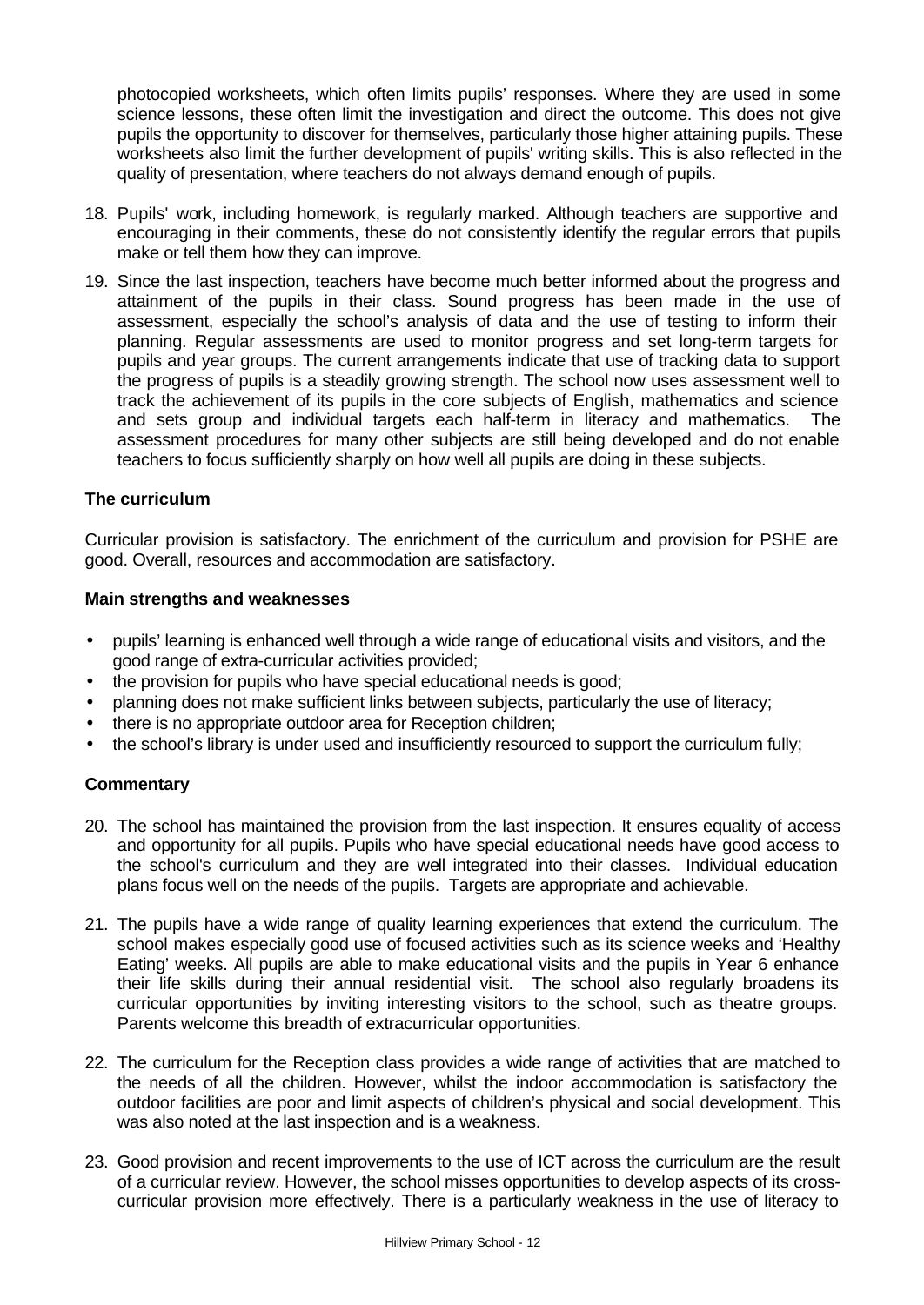photocopied worksheets, which often limits pupils' responses. Where they are used in some science lessons, these often limit the investigation and direct the outcome. This does not give pupils the opportunity to discover for themselves, particularly those higher attaining pupils. These worksheets also limit the further development of pupils' writing skills. This is also reflected in the quality of presentation, where teachers do not always demand enough of pupils.

- 18. Pupils' work, including homework, is regularly marked. Although teachers are supportive and encouraging in their comments, these do not consistently identify the regular errors that pupils make or tell them how they can improve.
- 19. Since the last inspection, teachers have become much better informed about the progress and attainment of the pupils in their class. Sound progress has been made in the use of assessment, especially the school's analysis of data and the use of testing to inform their planning. Regular assessments are used to monitor progress and set long-term targets for pupils and year groups. The current arrangements indicate that use of tracking data to support the progress of pupils is a steadily growing strength. The school now uses assessment well to track the achievement of its pupils in the core subjects of English, mathematics and science and sets group and individual targets each half-term in literacy and mathematics. The assessment procedures for many other subjects are still being developed and do not enable teachers to focus sufficiently sharply on how well all pupils are doing in these subjects.

## **The curriculum**

Curricular provision is satisfactory. The enrichment of the curriculum and provision for PSHE are good. Overall, resources and accommodation are satisfactory.

#### **Main strengths and weaknesses**

- pupils' learning is enhanced well through a wide range of educational visits and visitors, and the good range of extra-curricular activities provided;
- the provision for pupils who have special educational needs is good;
- planning does not make sufficient links between subjects, particularly the use of literacy;
- there is no appropriate outdoor area for Reception children;
- the school's library is under used and insufficiently resourced to support the curriculum fully;

## **Commentary**

- 20. The school has maintained the provision from the last inspection. It ensures equality of access and opportunity for all pupils. Pupils who have special educational needs have good access to the school's curriculum and they are well integrated into their classes. Individual education plans focus well on the needs of the pupils. Targets are appropriate and achievable.
- 21. The pupils have a wide range of quality learning experiences that extend the curriculum. The school makes especially good use of focused activities such as its science weeks and 'Healthy Eating' weeks. All pupils are able to make educational visits and the pupils in Year 6 enhance their life skills during their annual residential visit. The school also regularly broadens its curricular opportunities by inviting interesting visitors to the school, such as theatre groups. Parents welcome this breadth of extracurricular opportunities.
- 22. The curriculum for the Reception class provides a wide range of activities that are matched to the needs of all the children. However, whilst the indoor accommodation is satisfactory the outdoor facilities are poor and limit aspects of children's physical and social development. This was also noted at the last inspection and is a weakness.
- 23. Good provision and recent improvements to the use of ICT across the curriculum are the result of a curricular review. However, the school misses opportunities to develop aspects of its crosscurricular provision more effectively. There is a particularly weakness in the use of literacy to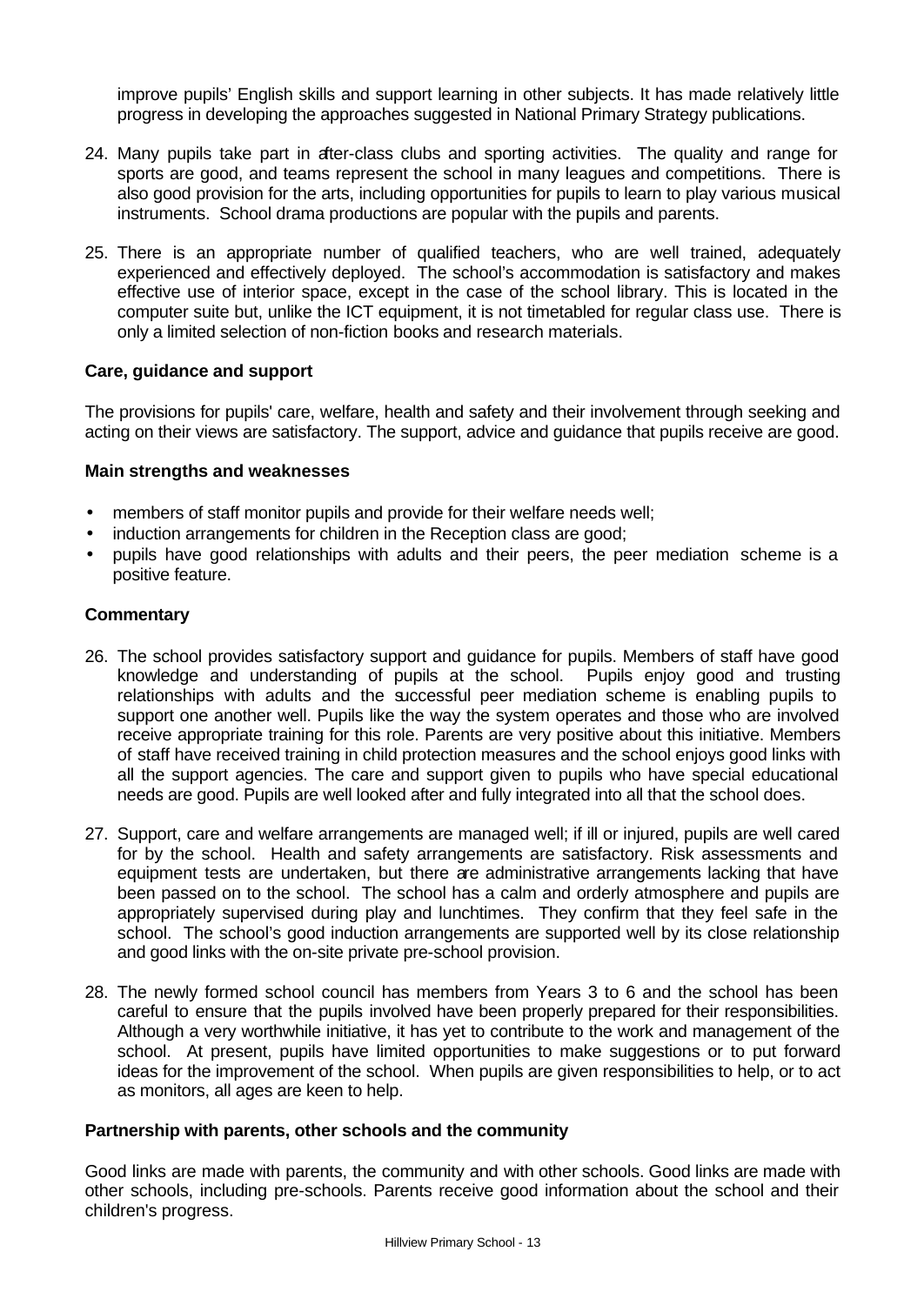improve pupils' English skills and support learning in other subjects. It has made relatively little progress in developing the approaches suggested in National Primary Strategy publications.

- 24. Many pupils take part in after-class clubs and sporting activities. The quality and range for sports are good, and teams represent the school in many leagues and competitions. There is also good provision for the arts, including opportunities for pupils to learn to play various musical instruments. School drama productions are popular with the pupils and parents.
- 25. There is an appropriate number of qualified teachers, who are well trained, adequately experienced and effectively deployed. The school's accommodation is satisfactory and makes effective use of interior space, except in the case of the school library. This is located in the computer suite but, unlike the ICT equipment, it is not timetabled for regular class use. There is only a limited selection of non-fiction books and research materials.

## **Care, guidance and support**

The provisions for pupils' care, welfare, health and safety and their involvement through seeking and acting on their views are satisfactory. The support, advice and guidance that pupils receive are good.

#### **Main strengths and weaknesses**

- members of staff monitor pupils and provide for their welfare needs well;
- induction arrangements for children in the Reception class are good;
- pupils have good relationships with adults and their peers, the peer mediation scheme is a positive feature.

#### **Commentary**

- 26. The school provides satisfactory support and guidance for pupils. Members of staff have good knowledge and understanding of pupils at the school. Pupils enjoy good and trusting relationships with adults and the successful peer mediation scheme is enabling pupils to support one another well. Pupils like the way the system operates and those who are involved receive appropriate training for this role. Parents are very positive about this initiative. Members of staff have received training in child protection measures and the school enjoys good links with all the support agencies. The care and support given to pupils who have special educational needs are good. Pupils are well looked after and fully integrated into all that the school does.
- 27. Support, care and welfare arrangements are managed well; if ill or injured, pupils are well cared for by the school. Health and safety arrangements are satisfactory. Risk assessments and equipment tests are undertaken, but there are administrative arrangements lacking that have been passed on to the school. The school has a calm and orderly atmosphere and pupils are appropriately supervised during play and lunchtimes. They confirm that they feel safe in the school. The school's good induction arrangements are supported well by its close relationship and good links with the on-site private pre-school provision.
- 28. The newly formed school council has members from Years 3 to 6 and the school has been careful to ensure that the pupils involved have been properly prepared for their responsibilities. Although a very worthwhile initiative, it has yet to contribute to the work and management of the school. At present, pupils have limited opportunities to make suggestions or to put forward ideas for the improvement of the school. When pupils are given responsibilities to help, or to act as monitors, all ages are keen to help.

#### **Partnership with parents, other schools and the community**

Good links are made with parents, the community and with other schools. Good links are made with other schools, including pre-schools. Parents receive good information about the school and their children's progress.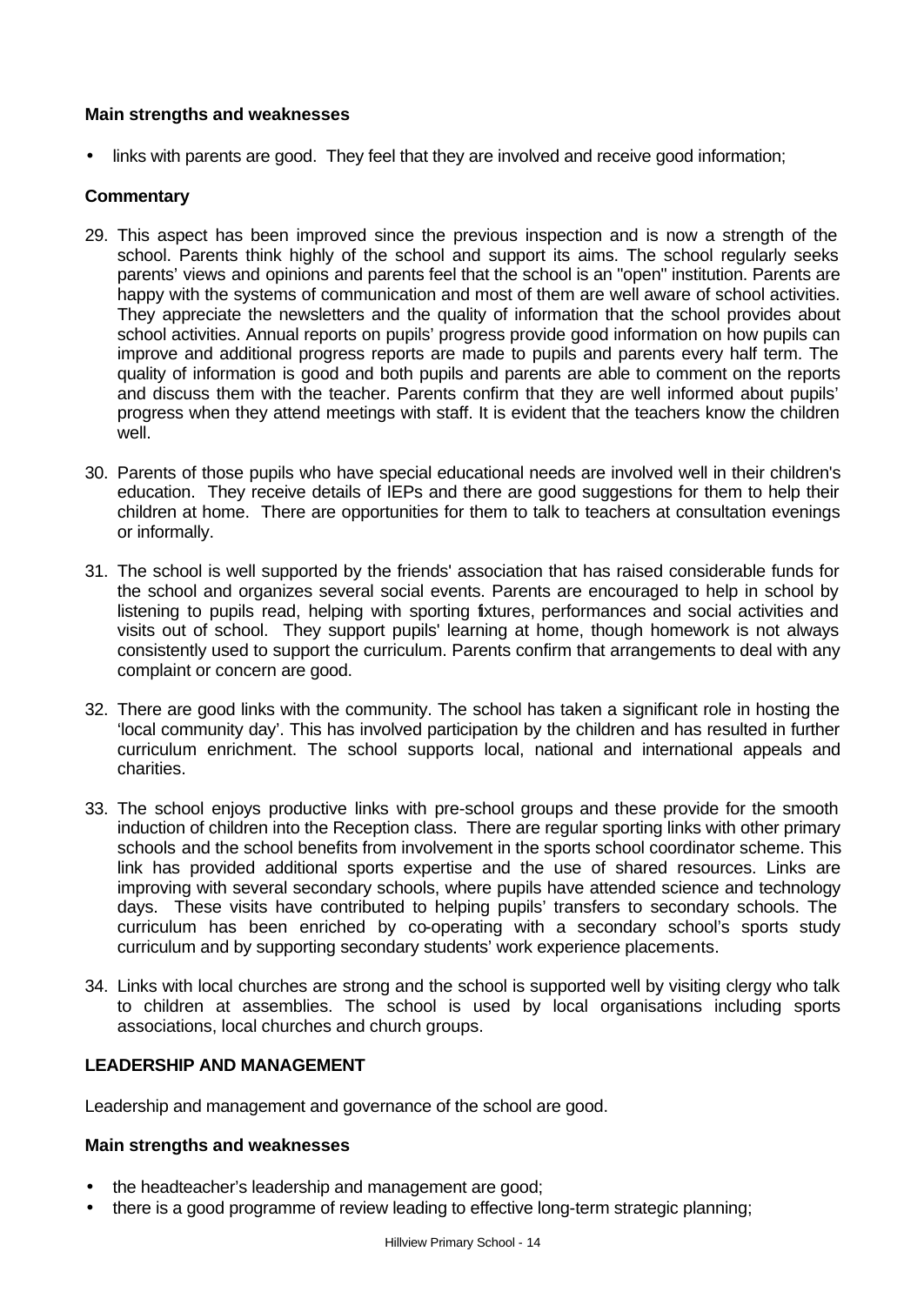## **Main strengths and weaknesses**

• links with parents are good. They feel that they are involved and receive good information;

## **Commentary**

- 29. This aspect has been improved since the previous inspection and is now a strength of the school. Parents think highly of the school and support its aims. The school regularly seeks parents' views and opinions and parents feel that the school is an "open" institution. Parents are happy with the systems of communication and most of them are well aware of school activities. They appreciate the newsletters and the quality of information that the school provides about school activities. Annual reports on pupils' progress provide good information on how pupils can improve and additional progress reports are made to pupils and parents every half term. The quality of information is good and both pupils and parents are able to comment on the reports and discuss them with the teacher. Parents confirm that they are well informed about pupils' progress when they attend meetings with staff. It is evident that the teachers know the children well.
- 30. Parents of those pupils who have special educational needs are involved well in their children's education. They receive details of IEPs and there are good suggestions for them to help their children at home. There are opportunities for them to talk to teachers at consultation evenings or informally.
- 31. The school is well supported by the friends' association that has raised considerable funds for the school and organizes several social events. Parents are encouraged to help in school by listening to pupils read, helping with sporting fixtures, performances and social activities and visits out of school. They support pupils' learning at home, though homework is not always consistently used to support the curriculum. Parents confirm that arrangements to deal with any complaint or concern are good.
- 32. There are good links with the community. The school has taken a significant role in hosting the 'local community day'. This has involved participation by the children and has resulted in further curriculum enrichment. The school supports local, national and international appeals and charities.
- 33. The school enjoys productive links with pre-school groups and these provide for the smooth induction of children into the Reception class. There are regular sporting links with other primary schools and the school benefits from involvement in the sports school coordinator scheme. This link has provided additional sports expertise and the use of shared resources. Links are improving with several secondary schools, where pupils have attended science and technology days. These visits have contributed to helping pupils' transfers to secondary schools. The curriculum has been enriched by co-operating with a secondary school's sports study curriculum and by supporting secondary students' work experience placements.
- 34. Links with local churches are strong and the school is supported well by visiting clergy who talk to children at assemblies. The school is used by local organisations including sports associations, local churches and church groups.

# **LEADERSHIP AND MANAGEMENT**

Leadership and management and governance of the school are good.

## **Main strengths and weaknesses**

- the headteacher's leadership and management are good;
- there is a good programme of review leading to effective long-term strategic planning;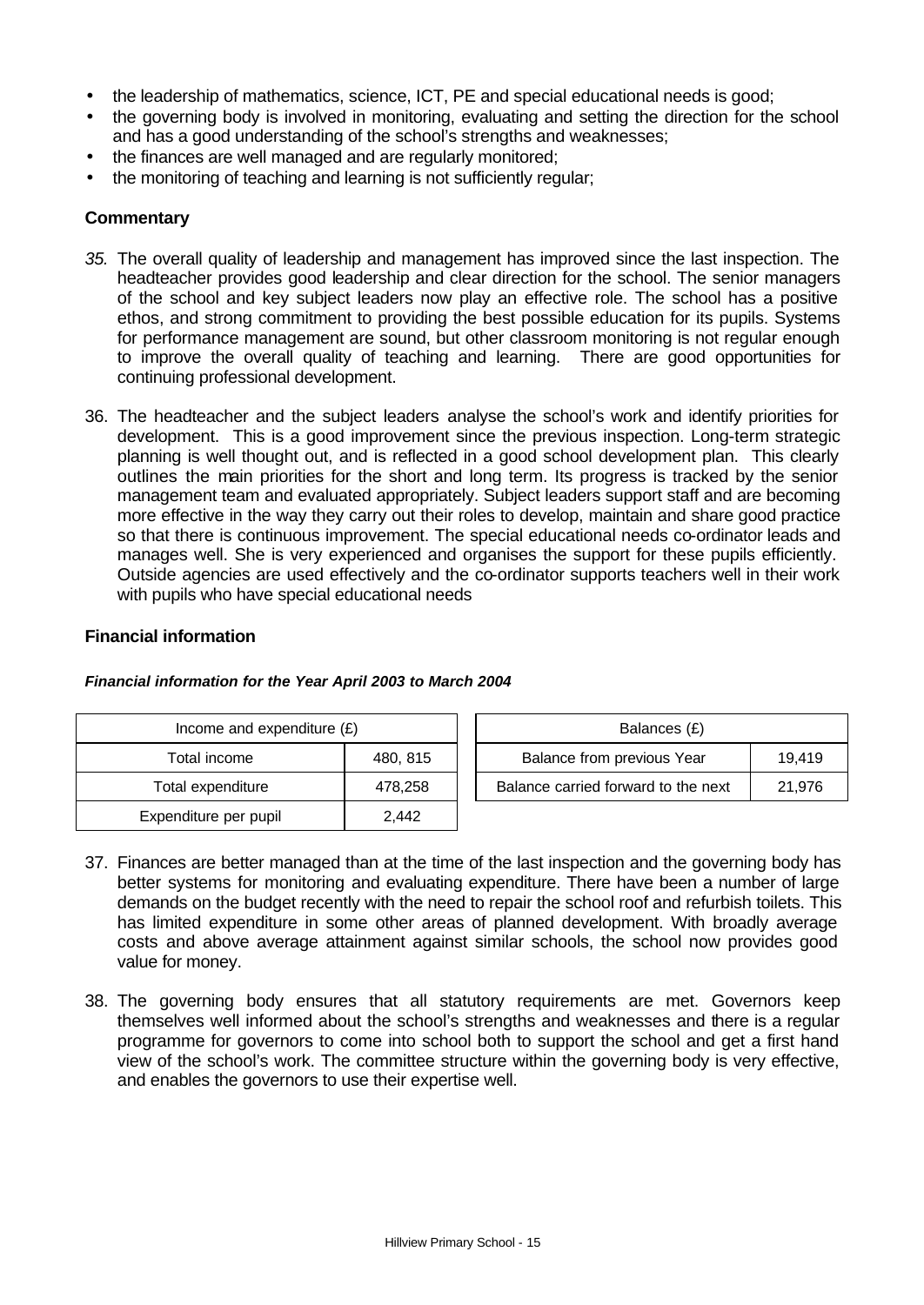- the leadership of mathematics, science, ICT, PE and special educational needs is good;
- the governing body is involved in monitoring, evaluating and setting the direction for the school and has a good understanding of the school's strengths and weaknesses;
- the finances are well managed and are regularly monitored;
- the monitoring of teaching and learning is not sufficiently regular;

## **Commentary**

- *35.* The overall quality of leadership and management has improved since the last inspection. The headteacher provides good leadership and clear direction for the school. The senior managers of the school and key subject leaders now play an effective role. The school has a positive ethos, and strong commitment to providing the best possible education for its pupils. Systems for performance management are sound, but other classroom monitoring is not regular enough to improve the overall quality of teaching and learning. There are good opportunities for continuing professional development.
- 36. The headteacher and the subject leaders analyse the school's work and identify priorities for development. This is a good improvement since the previous inspection. Long-term strategic planning is well thought out, and is reflected in a good school development plan. This clearly outlines the main priorities for the short and long term. Its progress is tracked by the senior management team and evaluated appropriately. Subject leaders support staff and are becoming more effective in the way they carry out their roles to develop, maintain and share good practice so that there is continuous improvement. The special educational needs co-ordinator leads and manages well. She is very experienced and organises the support for these pupils efficiently. Outside agencies are used effectively and the co-ordinator supports teachers well in their work with pupils who have special educational needs

#### **Financial information**

| Income and expenditure $(E)$ |          | Balances (£)                                  |
|------------------------------|----------|-----------------------------------------------|
| Total income                 | 480, 815 | Balance from previous Year<br>19.419          |
| Total expenditure            | 478,258  | Balance carried forward to the next<br>21,976 |
| Expenditure per pupil        | 2,442    |                                               |

#### *Financial information for the Year April 2003 to March 2004*

- 37. Finances are better managed than at the time of the last inspection and the governing body has better systems for monitoring and evaluating expenditure. There have been a number of large demands on the budget recently with the need to repair the school roof and refurbish toilets. This has limited expenditure in some other areas of planned development. With broadly average costs and above average attainment against similar schools, the school now provides good value for money.
- 38. The governing body ensures that all statutory requirements are met. Governors keep themselves well informed about the school's strengths and weaknesses and there is a regular programme for governors to come into school both to support the school and get a first hand view of the school's work. The committee structure within the governing body is very effective, and enables the governors to use their expertise well.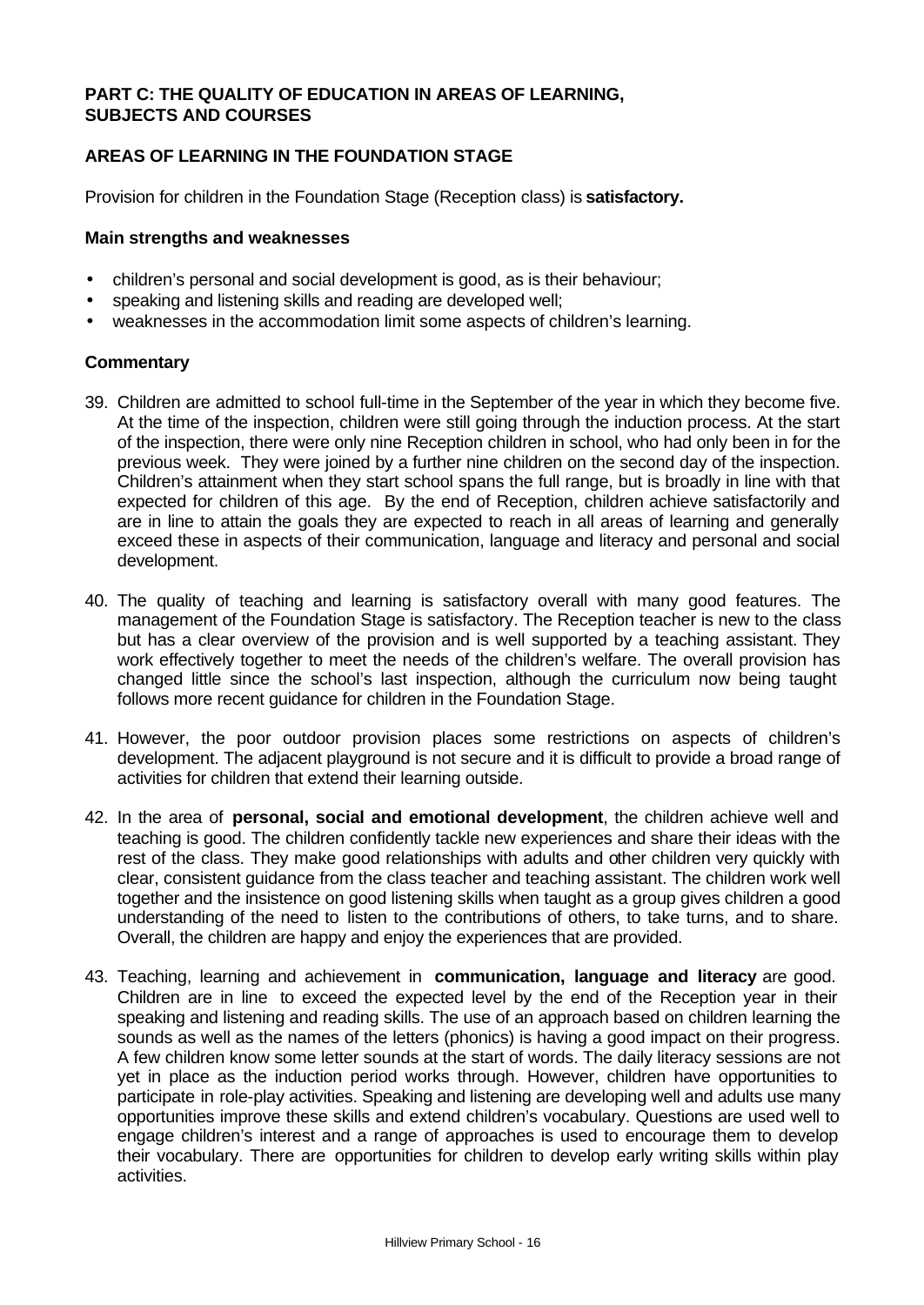## **PART C: THE QUALITY OF EDUCATION IN AREAS OF LEARNING, SUBJECTS AND COURSES**

## **AREAS OF LEARNING IN THE FOUNDATION STAGE**

Provision for children in the Foundation Stage (Reception class) is **satisfactory.**

## **Main strengths and weaknesses**

- children's personal and social development is good, as is their behaviour;
- speaking and listening skills and reading are developed well;
- weaknesses in the accommodation limit some aspects of children's learning.

## **Commentary**

- 39. Children are admitted to school full-time in the September of the year in which they become five. At the time of the inspection, children were still going through the induction process. At the start of the inspection, there were only nine Reception children in school, who had only been in for the previous week. They were joined by a further nine children on the second day of the inspection. Children's attainment when they start school spans the full range, but is broadly in line with that expected for children of this age. By the end of Reception, children achieve satisfactorily and are in line to attain the goals they are expected to reach in all areas of learning and generally exceed these in aspects of their communication, language and literacy and personal and social development.
- 40. The quality of teaching and learning is satisfactory overall with many good features. The management of the Foundation Stage is satisfactory. The Reception teacher is new to the class but has a clear overview of the provision and is well supported by a teaching assistant. They work effectively together to meet the needs of the children's welfare. The overall provision has changed little since the school's last inspection, although the curriculum now being taught follows more recent guidance for children in the Foundation Stage.
- 41. However, the poor outdoor provision places some restrictions on aspects of children's development. The adjacent playground is not secure and it is difficult to provide a broad range of activities for children that extend their learning outside.
- 42. In the area of **personal, social and emotional development**, the children achieve well and teaching is good. The children confidently tackle new experiences and share their ideas with the rest of the class. They make good relationships with adults and other children very quickly with clear, consistent guidance from the class teacher and teaching assistant. The children work well together and the insistence on good listening skills when taught as a group gives children a good understanding of the need to listen to the contributions of others, to take turns, and to share. Overall, the children are happy and enjoy the experiences that are provided.
- 43. Teaching, learning and achievement in **communication, language and literacy** are good. Children are in line to exceed the expected level by the end of the Reception year in their speaking and listening and reading skills. The use of an approach based on children learning the sounds as well as the names of the letters (phonics) is having a good impact on their progress. A few children know some letter sounds at the start of words. The daily literacy sessions are not yet in place as the induction period works through. However, children have opportunities to participate in role-play activities. Speaking and listening are developing well and adults use many opportunities improve these skills and extend children's vocabulary. Questions are used well to engage children's interest and a range of approaches is used to encourage them to develop their vocabulary. There are opportunities for children to develop early writing skills within play activities.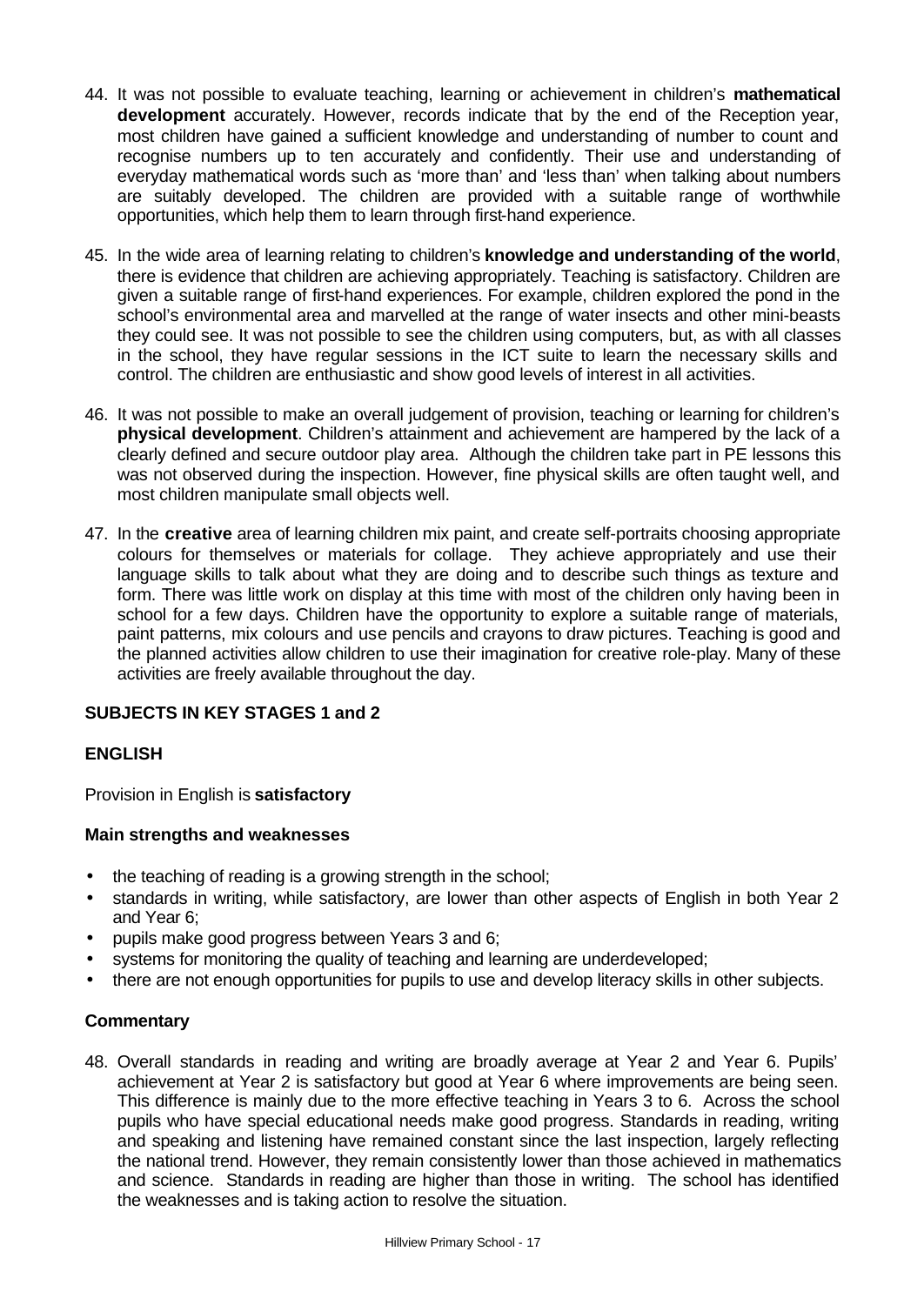- 44. It was not possible to evaluate teaching, learning or achievement in children's **mathematical development** accurately. However, records indicate that by the end of the Reception year, most children have gained a sufficient knowledge and understanding of number to count and recognise numbers up to ten accurately and confidently. Their use and understanding of everyday mathematical words such as 'more than' and 'less than' when talking about numbers are suitably developed. The children are provided with a suitable range of worthwhile opportunities, which help them to learn through first-hand experience.
- 45. In the wide area of learning relating to children's **knowledge and understanding of the world**, there is evidence that children are achieving appropriately. Teaching is satisfactory. Children are given a suitable range of first-hand experiences. For example, children explored the pond in the school's environmental area and marvelled at the range of water insects and other mini-beasts they could see. It was not possible to see the children using computers, but, as with all classes in the school, they have regular sessions in the ICT suite to learn the necessary skills and control. The children are enthusiastic and show good levels of interest in all activities.
- 46. It was not possible to make an overall judgement of provision, teaching or learning for children's **physical development**. Children's attainment and achievement are hampered by the lack of a clearly defined and secure outdoor play area. Although the children take part in PE lessons this was not observed during the inspection. However, fine physical skills are often taught well, and most children manipulate small objects well.
- 47. In the **creative** area of learning children mix paint, and create self-portraits choosing appropriate colours for themselves or materials for collage. They achieve appropriately and use their language skills to talk about what they are doing and to describe such things as texture and form. There was little work on display at this time with most of the children only having been in school for a few days. Children have the opportunity to explore a suitable range of materials, paint patterns, mix colours and use pencils and crayons to draw pictures. Teaching is good and the planned activities allow children to use their imagination for creative role-play. Many of these activities are freely available throughout the day.

## **SUBJECTS IN KEY STAGES 1 and 2**

## **ENGLISH**

Provision in English is **satisfactory**

## **Main strengths and weaknesses**

- the teaching of reading is a growing strength in the school;
- standards in writing, while satisfactory, are lower than other aspects of English in both Year 2 and Year 6;
- pupils make good progress between Years 3 and 6;
- systems for monitoring the quality of teaching and learning are underdeveloped;
- there are not enough opportunities for pupils to use and develop literacy skills in other subjects.

## **Commentary**

48. Overall standards in reading and writing are broadly average at Year 2 and Year 6. Pupils' achievement at Year 2 is satisfactory but good at Year 6 where improvements are being seen. This difference is mainly due to the more effective teaching in Years 3 to 6. Across the school pupils who have special educational needs make good progress. Standards in reading, writing and speaking and listening have remained constant since the last inspection, largely reflecting the national trend. However, they remain consistently lower than those achieved in mathematics and science. Standards in reading are higher than those in writing. The school has identified the weaknesses and is taking action to resolve the situation.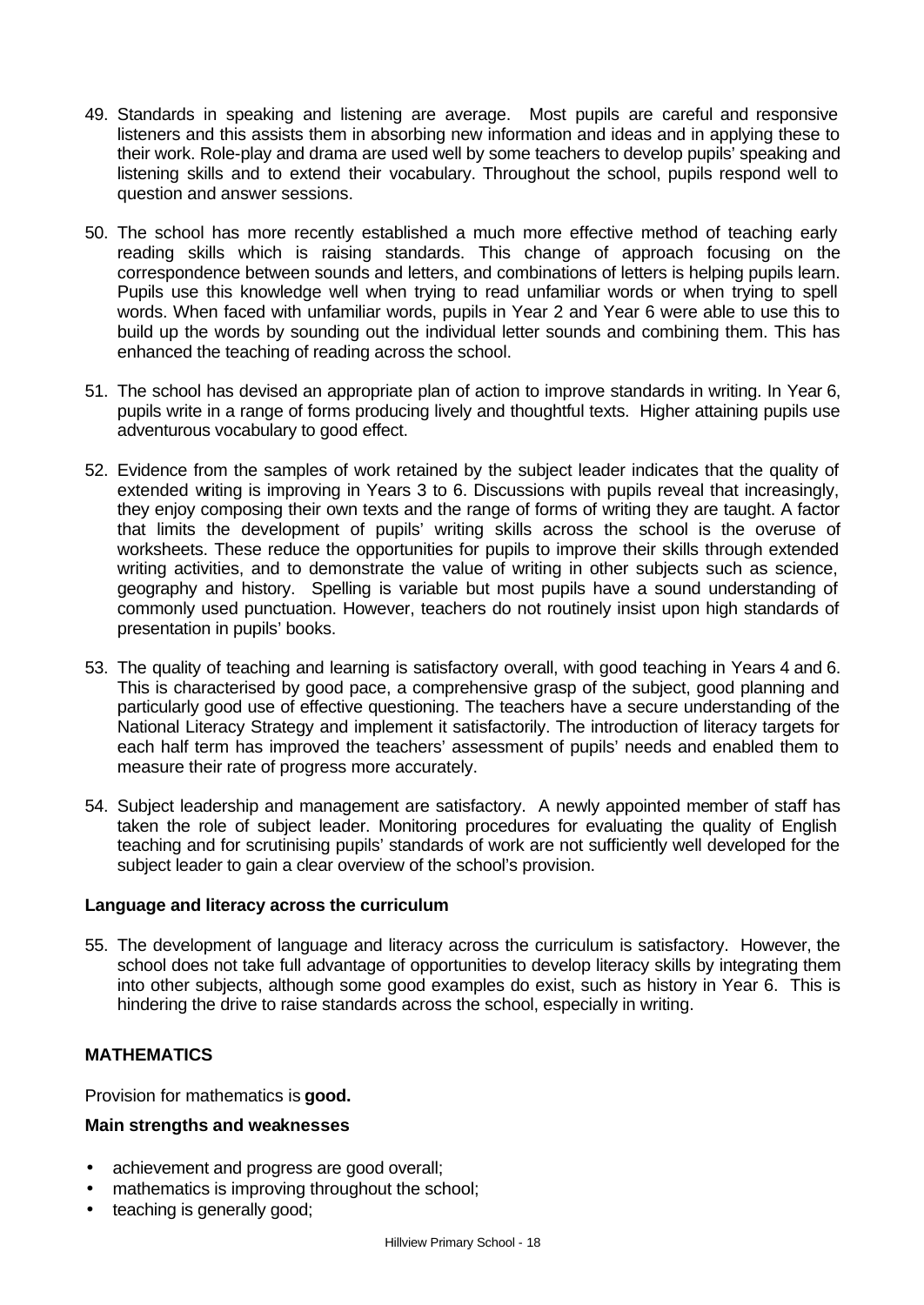- 49. Standards in speaking and listening are average. Most pupils are careful and responsive listeners and this assists them in absorbing new information and ideas and in applying these to their work. Role-play and drama are used well by some teachers to develop pupils' speaking and listening skills and to extend their vocabulary. Throughout the school, pupils respond well to question and answer sessions.
- 50. The school has more recently established a much more effective method of teaching early reading skills which is raising standards. This change of approach focusing on the correspondence between sounds and letters, and combinations of letters is helping pupils learn. Pupils use this knowledge well when trying to read unfamiliar words or when trying to spell words. When faced with unfamiliar words, pupils in Year 2 and Year 6 were able to use this to build up the words by sounding out the individual letter sounds and combining them. This has enhanced the teaching of reading across the school.
- 51. The school has devised an appropriate plan of action to improve standards in writing. In Year 6, pupils write in a range of forms producing lively and thoughtful texts. Higher attaining pupils use adventurous vocabulary to good effect.
- 52. Evidence from the samples of work retained by the subject leader indicates that the quality of extended writing is improving in Years 3 to 6. Discussions with pupils reveal that increasingly, they enjoy composing their own texts and the range of forms of writing they are taught. A factor that limits the development of pupils' writing skills across the school is the overuse of worksheets. These reduce the opportunities for pupils to improve their skills through extended writing activities, and to demonstrate the value of writing in other subjects such as science. geography and history. Spelling is variable but most pupils have a sound understanding of commonly used punctuation. However, teachers do not routinely insist upon high standards of presentation in pupils' books.
- 53. The quality of teaching and learning is satisfactory overall, with good teaching in Years 4 and 6. This is characterised by good pace, a comprehensive grasp of the subject, good planning and particularly good use of effective questioning. The teachers have a secure understanding of the National Literacy Strategy and implement it satisfactorily. The introduction of literacy targets for each half term has improved the teachers' assessment of pupils' needs and enabled them to measure their rate of progress more accurately.
- 54. Subject leadership and management are satisfactory. A newly appointed member of staff has taken the role of subject leader. Monitoring procedures for evaluating the quality of English teaching and for scrutinising pupils' standards of work are not sufficiently well developed for the subject leader to gain a clear overview of the school's provision.

## **Language and literacy across the curriculum**

55. The development of language and literacy across the curriculum is satisfactory.However, the school does not take full advantage of opportunities to develop literacy skills by integrating them into other subjects, although some good examples do exist, such as history in Year 6. This is hindering the drive to raise standards across the school, especially in writing.

## **MATHEMATICS**

Provision for mathematics is **good.**

#### **Main strengths and weaknesses**

- achievement and progress are good overall;
- mathematics is improving throughout the school;
- teaching is generally good;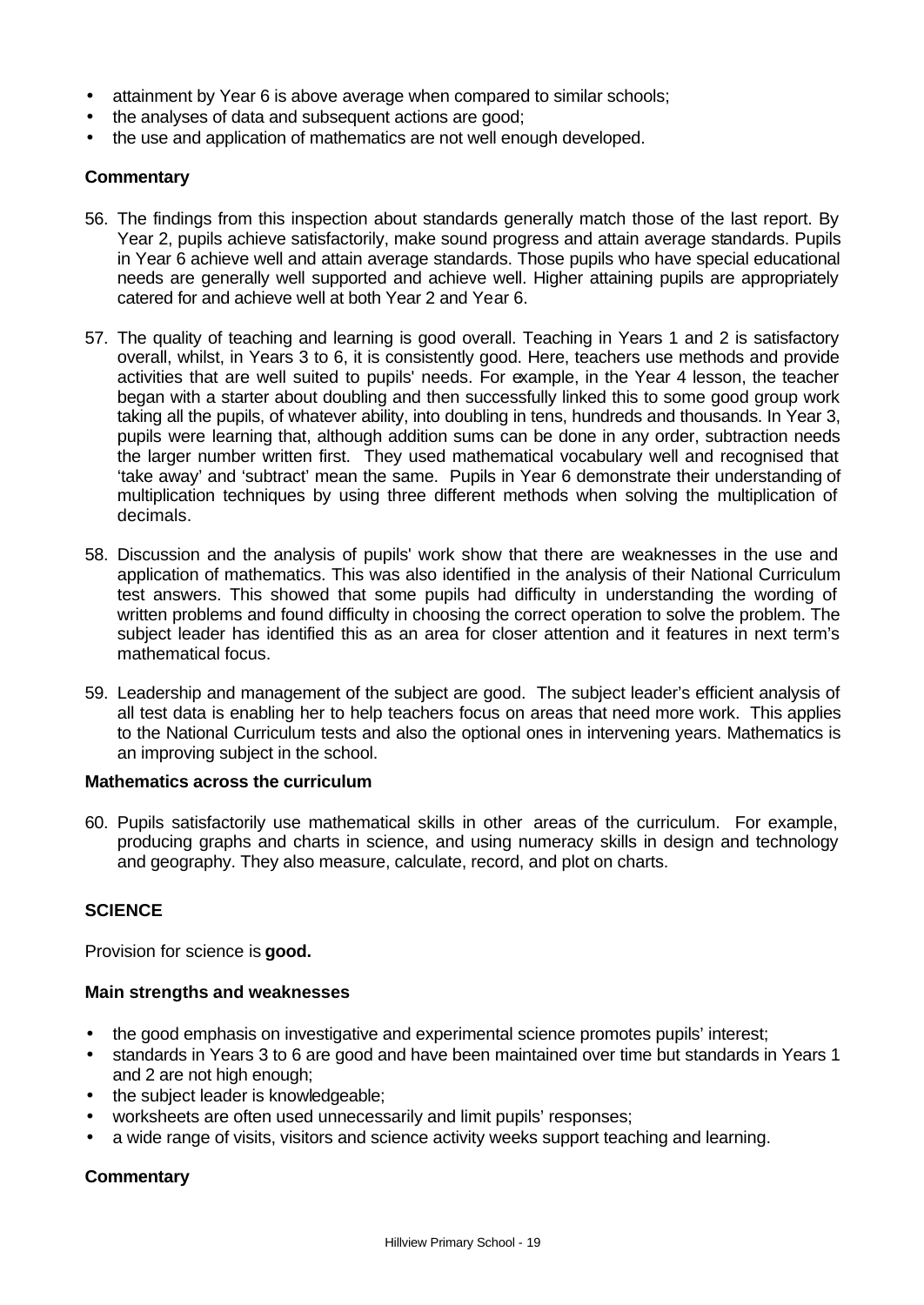- attainment by Year 6 is above average when compared to similar schools;
- the analyses of data and subsequent actions are good;
- the use and application of mathematics are not well enough developed.

## **Commentary**

- 56. The findings from this inspection about standards generally match those of the last report. By Year 2, pupils achieve satisfactorily, make sound progress and attain average standards. Pupils in Year 6 achieve well and attain average standards. Those pupils who have special educational needs are generally well supported and achieve well. Higher attaining pupils are appropriately catered for and achieve well at both Year 2 and Year 6.
- 57. The quality of teaching and learning is good overall. Teaching in Years 1 and 2 is satisfactory overall, whilst, in Years 3 to 6, it is consistently good. Here, teachers use methods and provide activities that are well suited to pupils' needs. For example, in the Year 4 lesson, the teacher began with a starter about doubling and then successfully linked this to some good group work taking all the pupils, of whatever ability, into doubling in tens, hundreds and thousands. In Year 3, pupils were learning that, although addition sums can be done in any order, subtraction needs the larger number written first. They used mathematical vocabulary well and recognised that 'take away' and 'subtract' mean the same. Pupils in Year 6 demonstrate their understanding of multiplication techniques by using three different methods when solving the multiplication of decimals.
- 58. Discussion and the analysis of pupils' work show that there are weaknesses in the use and application of mathematics. This was also identified in the analysis of their National Curriculum test answers. This showed that some pupils had difficulty in understanding the wording of written problems and found difficulty in choosing the correct operation to solve the problem. The subject leader has identified this as an area for closer attention and it features in next term's mathematical focus.
- 59. Leadership and management of the subject are good. The subject leader's efficient analysis of all test data is enabling her to help teachers focus on areas that need more work. This applies to the National Curriculum tests and also the optional ones in intervening years. Mathematics is an improving subject in the school.

## **Mathematics across the curriculum**

60. Pupils satisfactorily use mathematical skills in other areas of the curriculum. For example, producing graphs and charts in science, and using numeracy skills in design and technology and geography. They also measure, calculate, record, and plot on charts.

## **SCIENCE**

Provision for science is **good.**

## **Main strengths and weaknesses**

- the good emphasis on investigative and experimental science promotes pupils' interest;
- standards in Years 3 to 6 are good and have been maintained over time but standards in Years 1 and 2 are not high enough;
- the subject leader is knowledgeable;
- worksheets are often used unnecessarily and limit pupils' responses;
- a wide range of visits, visitors and science activity weeks support teaching and learning.

## **Commentary**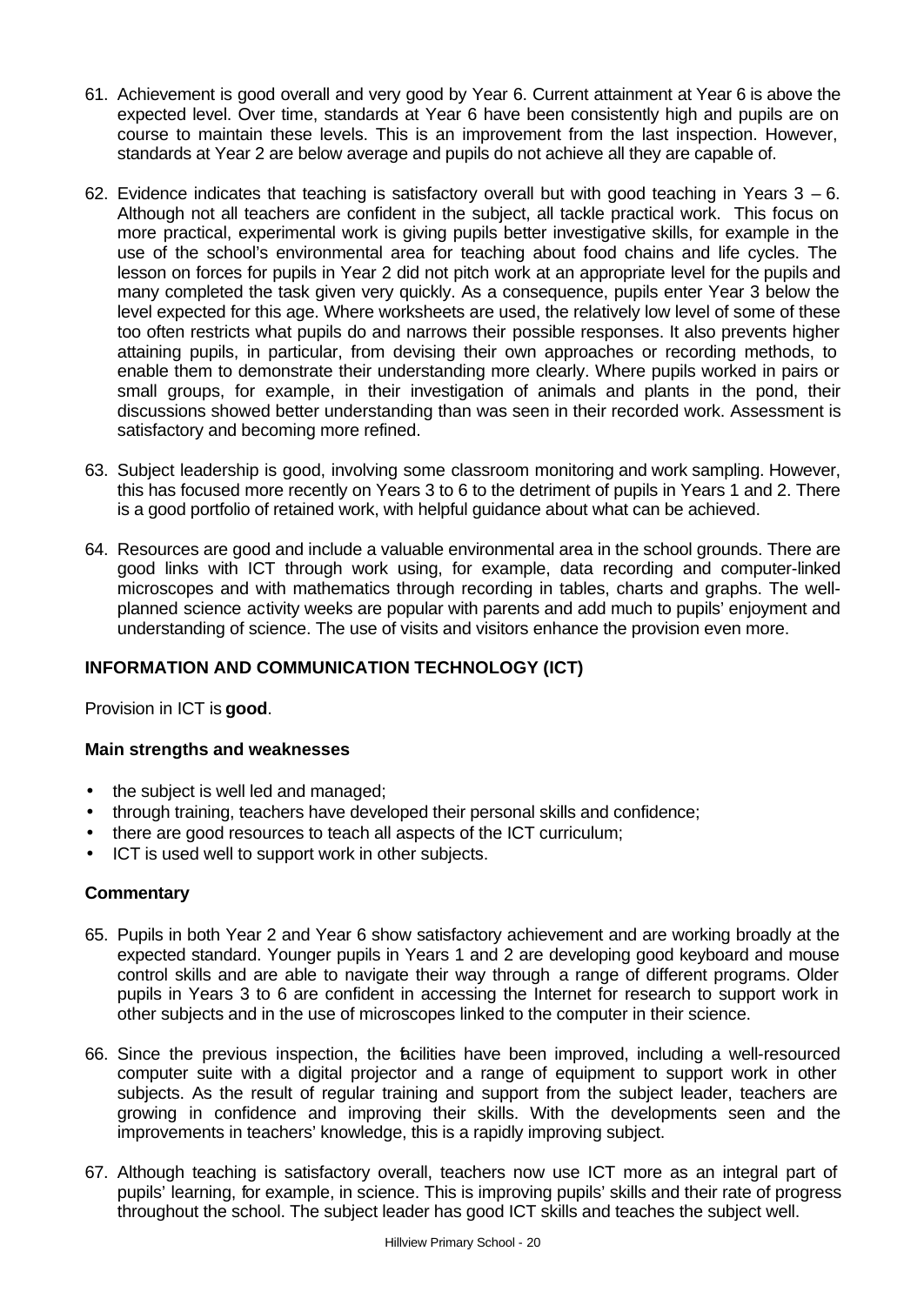- 61. Achievement is good overall and very good by Year 6. Current attainment at Year 6 is above the expected level. Over time, standards at Year 6 have been consistently high and pupils are on course to maintain these levels. This is an improvement from the last inspection. However, standards at Year 2 are below average and pupils do not achieve all they are capable of.
- 62. Evidence indicates that teaching is satisfactory overall but with good teaching in Years  $3 6$ . Although not all teachers are confident in the subject, all tackle practical work. This focus on more practical, experimental work is giving pupils better investigative skills, for example in the use of the school's environmental area for teaching about food chains and life cycles. The lesson on forces for pupils in Year 2 did not pitch work at an appropriate level for the pupils and many completed the task given very quickly. As a consequence, pupils enter Year 3 below the level expected for this age. Where worksheets are used, the relatively low level of some of these too often restricts what pupils do and narrows their possible responses. It also prevents higher attaining pupils, in particular, from devising their own approaches or recording methods, to enable them to demonstrate their understanding more clearly. Where pupils worked in pairs or small groups, for example, in their investigation of animals and plants in the pond, their discussions showed better understanding than was seen in their recorded work. Assessment is satisfactory and becoming more refined.
- 63. Subject leadership is good, involving some classroom monitoring and work sampling. However, this has focused more recently on Years 3 to 6 to the detriment of pupils in Years 1 and 2. There is a good portfolio of retained work, with helpful guidance about what can be achieved.
- 64. Resources are good and include a valuable environmental area in the school grounds. There are good links with ICT through work using, for example, data recording and computer-linked microscopes and with mathematics through recording in tables, charts and graphs. The wellplanned science activity weeks are popular with parents and add much to pupils' enjoyment and understanding of science. The use of visits and visitors enhance the provision even more.

## **INFORMATION AND COMMUNICATION TECHNOLOGY (ICT)**

Provision in ICT is **good**.

## **Main strengths and weaknesses**

- the subject is well led and managed:
- through training, teachers have developed their personal skills and confidence;
- there are good resources to teach all aspects of the ICT curriculum;
- ICT is used well to support work in other subjects.

## **Commentary**

- 65. Pupils in both Year 2 and Year 6 show satisfactory achievement and are working broadly at the expected standard. Younger pupils in Years 1 and 2 are developing good keyboard and mouse control skills and are able to navigate their way through a range of different programs. Older pupils in Years 3 to 6 are confident in accessing the Internet for research to support work in other subjects and in the use of microscopes linked to the computer in their science.
- 66. Since the previous inspection, the facilities have been improved, including a well-resourced computer suite with a digital projector and a range of equipment to support work in other subjects. As the result of regular training and support from the subject leader, teachers are growing in confidence and improving their skills. With the developments seen and the improvements in teachers' knowledge, this is a rapidly improving subject.
- 67. Although teaching is satisfactory overall, teachers now use ICT more as an integral part of pupils' learning, for example, in science. This is improving pupils' skills and their rate of progress throughout the school. The subject leader has good ICT skills and teaches the subject well.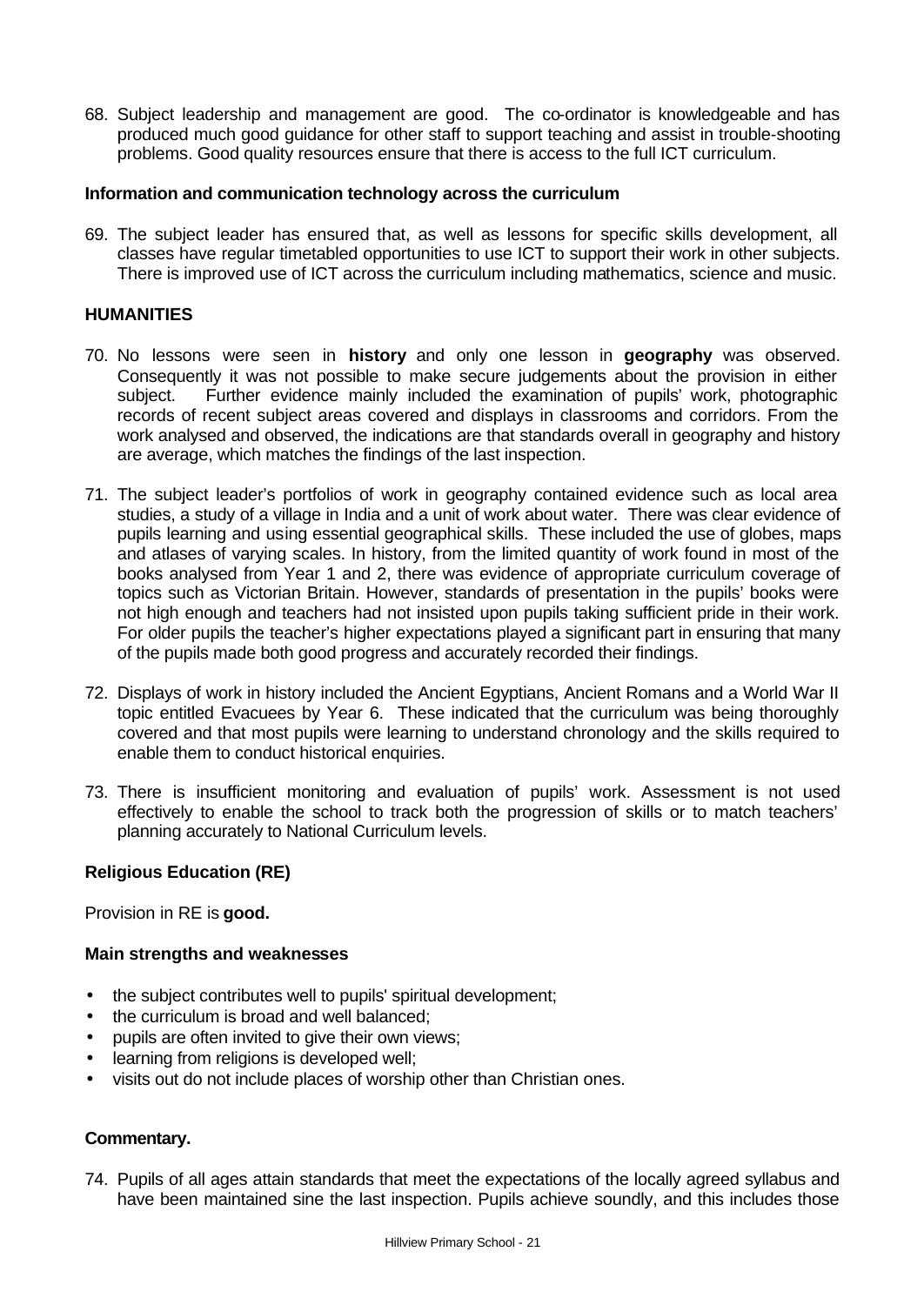68. Subject leadership and management are good. The co-ordinator is knowledgeable and has produced much good guidance for other staff to support teaching and assist in trouble-shooting problems. Good quality resources ensure that there is access to the full ICT curriculum.

#### **Information and communication technology across the curriculum**

69. The subject leader has ensured that, as well as lessons for specific skills development, all classes have regular timetabled opportunities to use ICT to support their work in other subjects. There is improved use of ICT across the curriculum including mathematics, science and music.

## **HUMANITIES**

- 70. No lessons were seen in **history** and only one lesson in **geography** was observed. Consequently it was not possible to make secure judgements about the provision in either subiect. Further evidence mainly included the examination of pupils' work, photographic records of recent subject areas covered and displays in classrooms and corridors. From the work analysed and observed, the indications are that standards overall in geography and history are average, which matches the findings of the last inspection.
- 71. The subject leader's portfolios of work in geography contained evidence such as local area studies, a study of a village in India and a unit of work about water. There was clear evidence of pupils learning and using essential geographical skills. These included the use of globes, maps and atlases of varying scales. In history, from the limited quantity of work found in most of the books analysed from Year 1 and 2, there was evidence of appropriate curriculum coverage of topics such as Victorian Britain. However, standards of presentation in the pupils' books were not high enough and teachers had not insisted upon pupils taking sufficient pride in their work. For older pupils the teacher's higher expectations played a significant part in ensuring that many of the pupils made both good progress and accurately recorded their findings.
- 72. Displays of work in history included the Ancient Egyptians, Ancient Romans and a World War II topic entitled Evacuees by Year 6. These indicated that the curriculum was being thoroughly covered and that most pupils were learning to understand chronology and the skills required to enable them to conduct historical enquiries.
- 73. There is insufficient monitoring and evaluation of pupils' work. Assessment is not used effectively to enable the school to track both the progression of skills or to match teachers' planning accurately to National Curriculum levels.

## **Religious Education (RE)**

Provision in RE is **good.**

## **Main strengths and weaknesses**

- the subject contributes well to pupils' spiritual development;
- the curriculum is broad and well balanced;
- pupils are often invited to give their own views;
- learning from religions is developed well;
- visits out do not include places of worship other than Christian ones.

## **Commentary.**

74. Pupils of all ages attain standards that meet the expectations of the locally agreed syllabus and have been maintained sine the last inspection. Pupils achieve soundly, and this includes those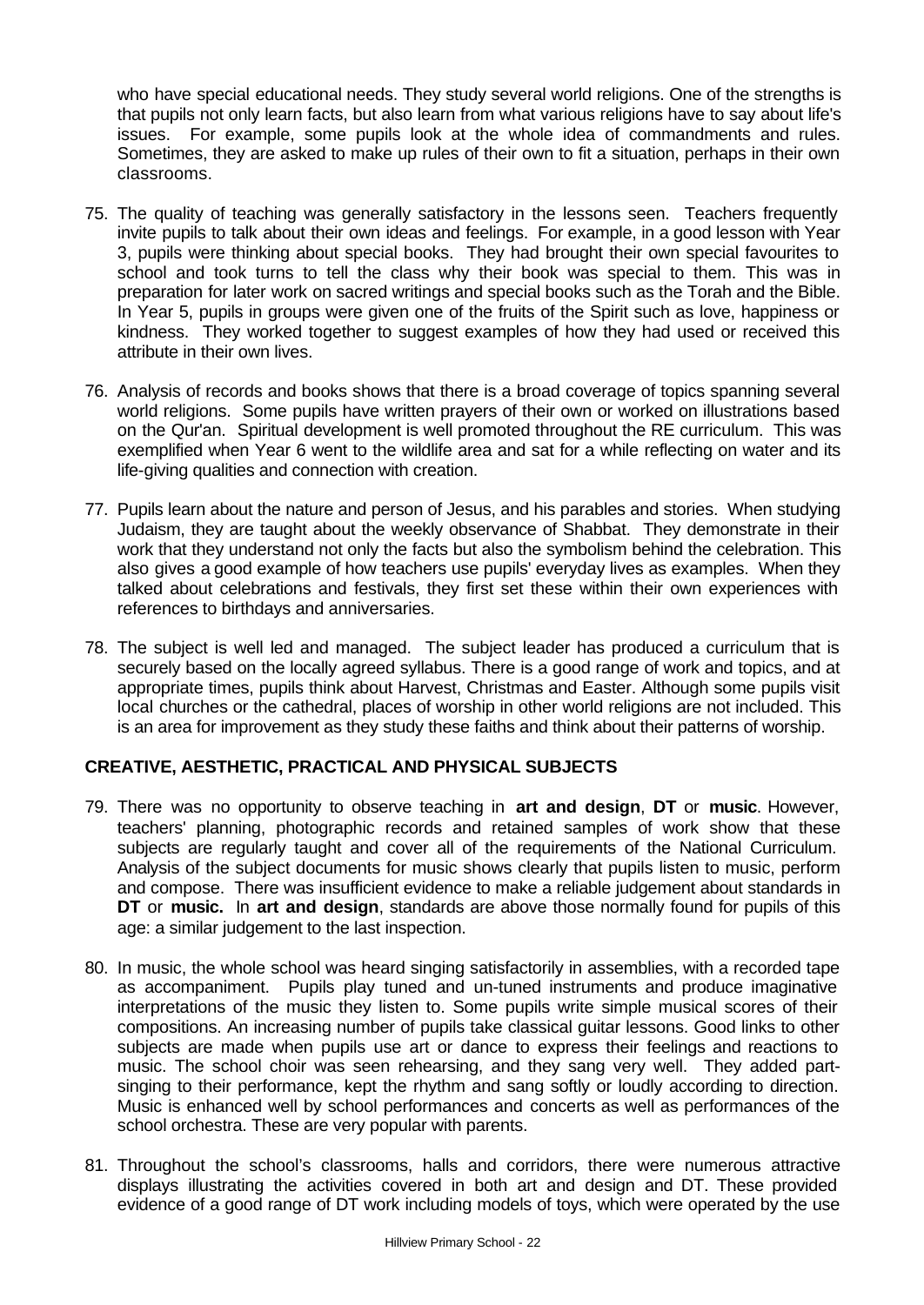who have special educational needs. They study several world religions. One of the strengths is that pupils not only learn facts, but also learn from what various religions have to say about life's issues. For example, some pupils look at the whole idea of commandments and rules. Sometimes, they are asked to make up rules of their own to fit a situation, perhaps in their own classrooms.

- 75. The quality of teaching was generally satisfactory in the lessons seen. Teachers frequently invite pupils to talk about their own ideas and feelings. For example, in a good lesson with Year 3, pupils were thinking about special books. They had brought their own special favourites to school and took turns to tell the class why their book was special to them. This was in preparation for later work on sacred writings and special books such as the Torah and the Bible. In Year 5, pupils in groups were given one of the fruits of the Spirit such as love, happiness or kindness. They worked together to suggest examples of how they had used or received this attribute in their own lives.
- 76. Analysis of records and books shows that there is a broad coverage of topics spanning several world religions. Some pupils have written prayers of their own or worked on illustrations based on the Qur'an. Spiritual development is well promoted throughout the RE curriculum. This was exemplified when Year 6 went to the wildlife area and sat for a while reflecting on water and its life-giving qualities and connection with creation.
- 77. Pupils learn about the nature and person of Jesus, and his parables and stories. When studying Judaism, they are taught about the weekly observance of Shabbat. They demonstrate in their work that they understand not only the facts but also the symbolism behind the celebration. This also gives a good example of how teachers use pupils' everyday lives as examples. When they talked about celebrations and festivals, they first set these within their own experiences with references to birthdays and anniversaries.
- 78. The subject is well led and managed. The subject leader has produced a curriculum that is securely based on the locally agreed syllabus. There is a good range of work and topics, and at appropriate times, pupils think about Harvest, Christmas and Easter. Although some pupils visit local churches or the cathedral, places of worship in other world religions are not included. This is an area for improvement as they study these faiths and think about their patterns of worship.

## **CREATIVE, AESTHETIC, PRACTICAL AND PHYSICAL SUBJECTS**

- 79. There was no opportunity to observe teaching in **art and design**, **DT** or **music**. However, teachers' planning, photographic records and retained samples of work show that these subjects are regularly taught and cover all of the requirements of the National Curriculum. Analysis of the subject documents for music shows clearly that pupils listen to music, perform and compose. There was insufficient evidence to make a reliable judgement about standards in **DT** or **music.** In **art and design**, standards are above those normally found for pupils of this age: a similar judgement to the last inspection.
- 80. In music, the whole school was heard singing satisfactorily in assemblies, with a recorded tape as accompaniment. Pupils play tuned and un-tuned instruments and produce imaginative interpretations of the music they listen to. Some pupils write simple musical scores of their compositions. An increasing number of pupils take classical guitar lessons. Good links to other subjects are made when pupils use art or dance to express their feelings and reactions to music. The school choir was seen rehearsing, and they sang very well. They added partsinging to their performance, kept the rhythm and sang softly or loudly according to direction. Music is enhanced well by school performances and concerts as well as performances of the school orchestra. These are very popular with parents.
- 81. Throughout the school's classrooms, halls and corridors, there were numerous attractive displays illustrating the activities covered in both art and design and DT. These provided evidence of a good range of DT work including models of toys, which were operated by the use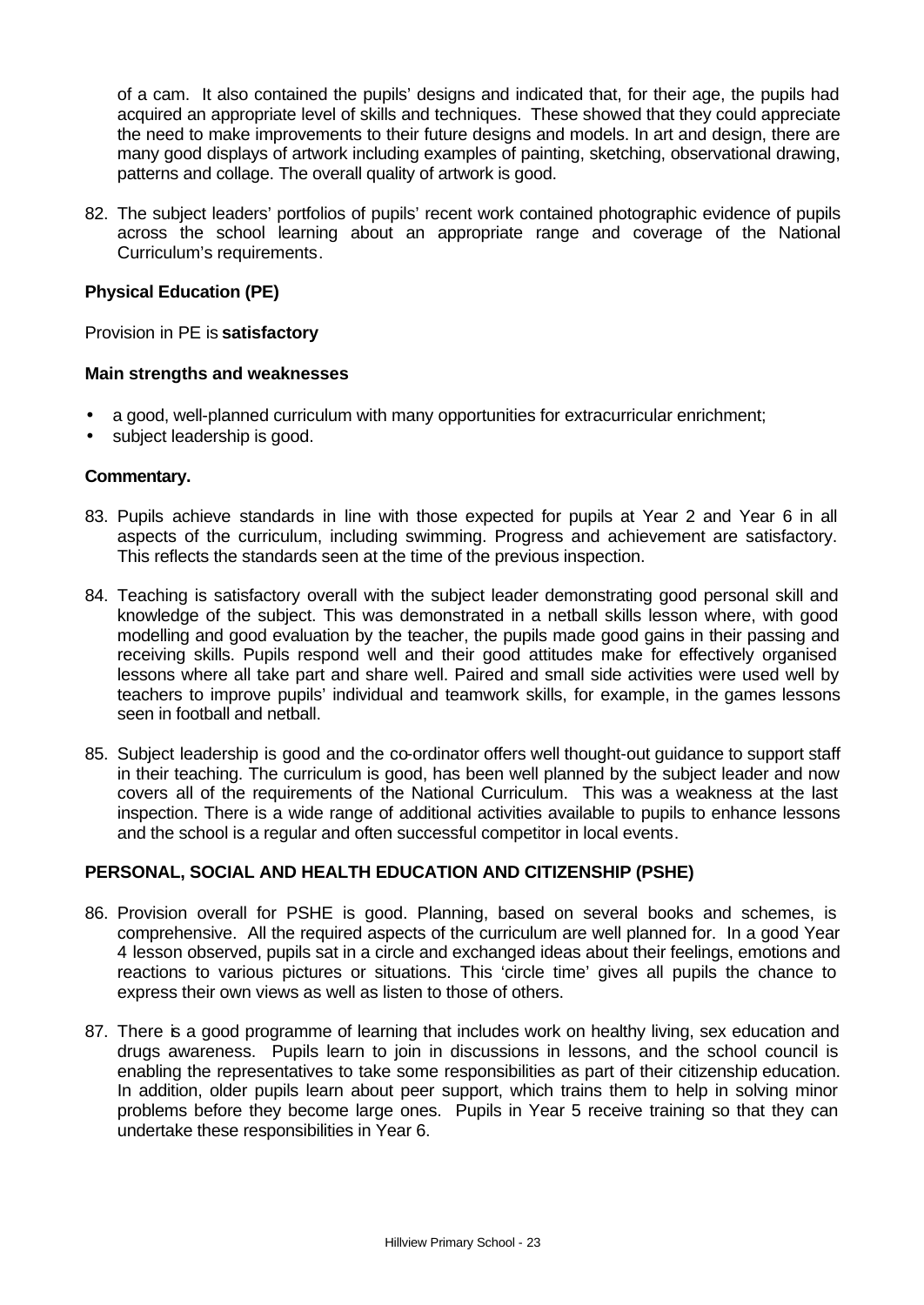of a cam. It also contained the pupils' designs and indicated that, for their age, the pupils had acquired an appropriate level of skills and techniques. These showed that they could appreciate the need to make improvements to their future designs and models. In art and design, there are many good displays of artwork including examples of painting, sketching, observational drawing, patterns and collage. The overall quality of artwork is good.

82. The subject leaders' portfolios of pupils' recent work contained photographic evidence of pupils across the school learning about an appropriate range and coverage of the National Curriculum's requirements.

## **Physical Education (PE)**

Provision in PE is **satisfactory**

## **Main strengths and weaknesses**

- a good, well-planned curriculum with many opportunities for extracurricular enrichment;
- subject leadership is good.

#### **Commentary.**

- 83. Pupils achieve standards in line with those expected for pupils at Year 2 and Year 6 in all aspects of the curriculum, including swimming. Progress and achievement are satisfactory. This reflects the standards seen at the time of the previous inspection.
- 84. Teaching is satisfactory overall with the subject leader demonstrating good personal skill and knowledge of the subject. This was demonstrated in a netball skills lesson where, with good modelling and good evaluation by the teacher, the pupils made good gains in their passing and receiving skills. Pupils respond well and their good attitudes make for effectively organised lessons where all take part and share well. Paired and small side activities were used well by teachers to improve pupils' individual and teamwork skills, for example, in the games lessons seen in football and netball.
- 85. Subject leadership is good and the co-ordinator offers well thought-out guidance to support staff in their teaching. The curriculum is good, has been well planned by the subject leader and now covers all of the requirements of the National Curriculum. This was a weakness at the last inspection. There is a wide range of additional activities available to pupils to enhance lessons and the school is a regular and often successful competitor in local events.

## **PERSONAL, SOCIAL AND HEALTH EDUCATION AND CITIZENSHIP (PSHE)**

- 86. Provision overall for PSHE is good. Planning, based on several books and schemes, is comprehensive. All the required aspects of the curriculum are well planned for. In a good Year 4 lesson observed, pupils sat in a circle and exchanged ideas about their feelings, emotions and reactions to various pictures or situations. This 'circle time' gives all pupils the chance to express their own views as well as listen to those of others.
- 87. There is a good programme of learning that includes work on healthy living, sex education and drugs awareness. Pupils learn to join in discussions in lessons, and the school council is enabling the representatives to take some responsibilities as part of their citizenship education. In addition, older pupils learn about peer support, which trains them to help in solving minor problems before they become large ones. Pupils in Year 5 receive training so that they can undertake these responsibilities in Year 6.